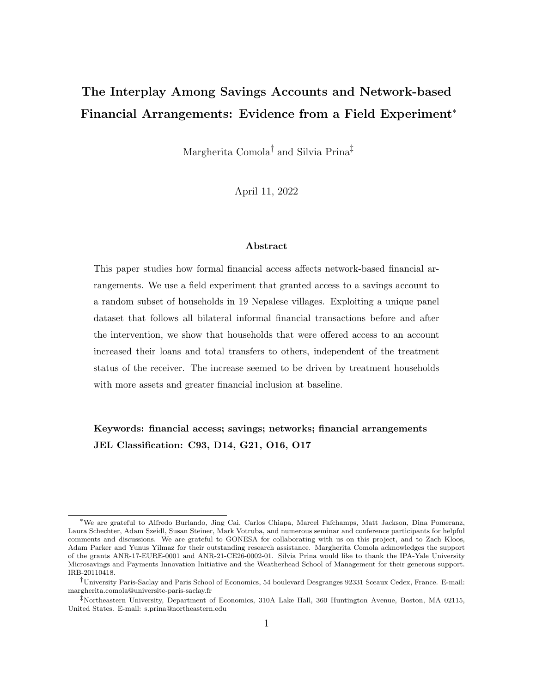# The Interplay Among Savings Accounts and Network-based Financial Arrangements: Evidence from a Field Experiment<sup>∗</sup>

Margherita Comola<sup>†</sup> and Silvia Prina<sup>‡</sup>

April 11, 2022

#### Abstract

This paper studies how formal financial access affects network-based financial arrangements. We use a field experiment that granted access to a savings account to a random subset of households in 19 Nepalese villages. Exploiting a unique panel dataset that follows all bilateral informal financial transactions before and after the intervention, we show that households that were offered access to an account increased their loans and total transfers to others, independent of the treatment status of the receiver. The increase seemed to be driven by treatment households with more assets and greater financial inclusion at baseline.

### Keywords: financial access; savings; networks; financial arrangements JEL Classification: C93, D14, G21, O16, O17

<sup>∗</sup>We are grateful to Alfredo Burlando, Jing Cai, Carlos Chiapa, Marcel Fafchamps, Matt Jackson, Dina Pomeranz, Laura Schechter, Adam Szeidl, Susan Steiner, Mark Votruba, and numerous seminar and conference participants for helpful comments and discussions. We are grateful to GONESA for collaborating with us on this project, and to Zach Kloos, Adam Parker and Yunus Yilmaz for their outstanding research assistance. Margherita Comola acknowledges the support of the grants ANR-17-EURE-0001 and ANR-21-CE26-0002-01. Silvia Prina would like to thank the IPA-Yale University Microsavings and Payments Innovation Initiative and the Weatherhead School of Management for their generous support. IRB-20110418.

<sup>†</sup>University Paris-Saclay and Paris School of Economics, 54 boulevard Desgranges 92331 Sceaux Cedex, France. E-mail: margherita.comola@universite-paris-saclay.fr

<sup>‡</sup>Northeastern University, Department of Economics, 310A Lake Hall, 360 Huntington Avenue, Boston, MA 02115, United States. E-mail: s.prina@northeastern.edu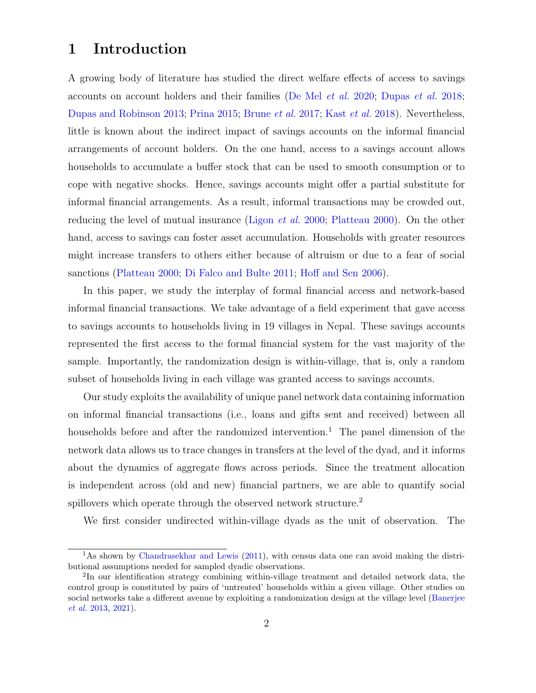## 1 Introduction

A growing body of literature has studied the direct welfare effects of access to savings accounts on account holders and their families [\(De Mel](#page-17-0) et al. [2020;](#page-17-0) [Dupas](#page-17-1) et al. [2018;](#page-17-1) [Dupas and Robinson](#page-18-0) [2013;](#page-18-0) [Prina](#page-19-0) [2015;](#page-19-0) [Brune](#page-16-0) et al. [2017;](#page-16-0) Kast [et al.](#page-18-1) [2018\)](#page-18-1). Nevertheless, little is known about the indirect impact of savings accounts on the informal financial arrangements of account holders. On the one hand, access to a savings account allows households to accumulate a buffer stock that can be used to smooth consumption or to cope with negative shocks. Hence, savings accounts might offer a partial substitute for informal financial arrangements. As a result, informal transactions may be crowded out, reducing the level of mutual insurance [\(Ligon](#page-18-2) et al. [2000;](#page-18-2) [Platteau](#page-19-1) [2000\)](#page-19-1). On the other hand, access to savings can foster asset accumulation. Households with greater resources might increase transfers to others either because of altruism or due to a fear of social sanctions [\(Platteau](#page-19-1) [2000;](#page-19-1) [Di Falco and Bulte](#page-17-2) [2011;](#page-17-2) [Hoff and Sen](#page-18-3) [2006\)](#page-18-3).

In this paper, we study the interplay of formal financial access and network-based informal financial transactions. We take advantage of a field experiment that gave access to savings accounts to households living in 19 villages in Nepal. These savings accounts represented the first access to the formal financial system for the vast majority of the sample. Importantly, the randomization design is within-village, that is, only a random subset of households living in each village was granted access to savings accounts.

Our study exploits the availability of unique panel network data containing information on informal financial transactions (i.e., loans and gifts sent and received) between all households before and after the randomized intervention.<sup>1</sup> The panel dimension of the network data allows us to trace changes in transfers at the level of the dyad, and it informs about the dynamics of aggregate flows across periods. Since the treatment allocation is independent across (old and new) financial partners, we are able to quantify social spillovers which operate through the observed network structure.<sup>2</sup>

We first consider undirected within-village dyads as the unit of observation. The

<sup>&</sup>lt;sup>1</sup>As shown by [Chandrasekhar and Lewis](#page-16-1) [\(2011\)](#page-16-1), with census data one can avoid making the distributional assumptions needed for sampled dyadic observations.

<sup>&</sup>lt;sup>2</sup>In our identification strategy combining within-village treatment and detailed network data, the control group is constituted by pairs of 'untreated' households within a given village. Other studies on social networks take a different avenue by exploiting a randomization design at the village level [\(Banerjee](#page-16-2) [et al.](#page-16-2) [2013,](#page-16-2) [2021\)](#page-16-3).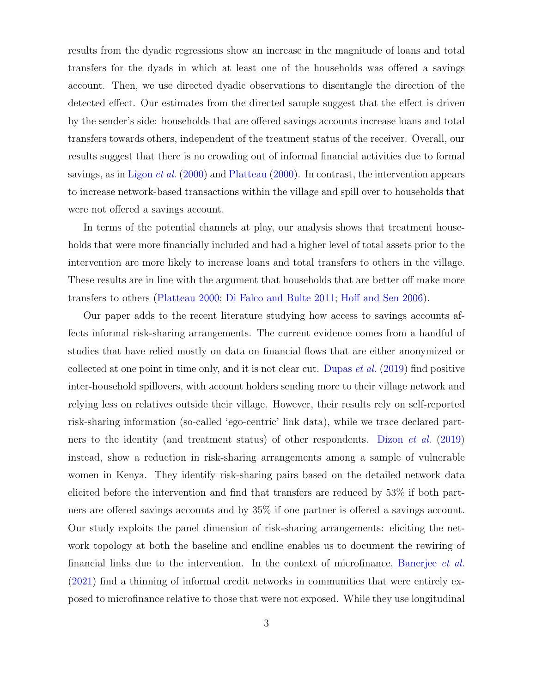results from the dyadic regressions show an increase in the magnitude of loans and total transfers for the dyads in which at least one of the households was offered a savings account. Then, we use directed dyadic observations to disentangle the direction of the detected effect. Our estimates from the directed sample suggest that the effect is driven by the sender's side: households that are offered savings accounts increase loans and total transfers towards others, independent of the treatment status of the receiver. Overall, our results suggest that there is no crowding out of informal financial activities due to formal savings, as in [Ligon](#page-18-2) *et al.* [\(2000\)](#page-19-1) and [Platteau](#page-19-1) (2000). In contrast, the intervention appears to increase network-based transactions within the village and spill over to households that were not offered a savings account.

In terms of the potential channels at play, our analysis shows that treatment households that were more financially included and had a higher level of total assets prior to the intervention are more likely to increase loans and total transfers to others in the village. These results are in line with the argument that households that are better off make more transfers to others [\(Platteau](#page-19-1) [2000;](#page-19-1) [Di Falco and Bulte](#page-17-2) [2011;](#page-17-2) [Hoff and Sen](#page-18-3) [2006\)](#page-18-3).

Our paper adds to the recent literature studying how access to savings accounts affects informal risk-sharing arrangements. The current evidence comes from a handful of studies that have relied mostly on data on financial flows that are either anonymized or collected at one point in time only, and it is not clear cut. [Dupas](#page-17-3) *et al.* [\(2019\)](#page-17-3) find positive inter-household spillovers, with account holders sending more to their village network and relying less on relatives outside their village. However, their results rely on self-reported risk-sharing information (so-called 'ego-centric' link data), while we trace declared partners to the identity (and treatment status) of other respondents. [Dizon](#page-17-4) et al. [\(2019\)](#page-17-4) instead, show a reduction in risk-sharing arrangements among a sample of vulnerable women in Kenya. They identify risk-sharing pairs based on the detailed network data elicited before the intervention and find that transfers are reduced by 53% if both partners are offered savings accounts and by 35% if one partner is offered a savings account. Our study exploits the panel dimension of risk-sharing arrangements: eliciting the network topology at both the baseline and endline enables us to document the rewiring of financial links due to the intervention. In the context of microfinance, [Banerjee](#page-16-3) et al. [\(2021\)](#page-16-3) find a thinning of informal credit networks in communities that were entirely exposed to microfinance relative to those that were not exposed. While they use longitudinal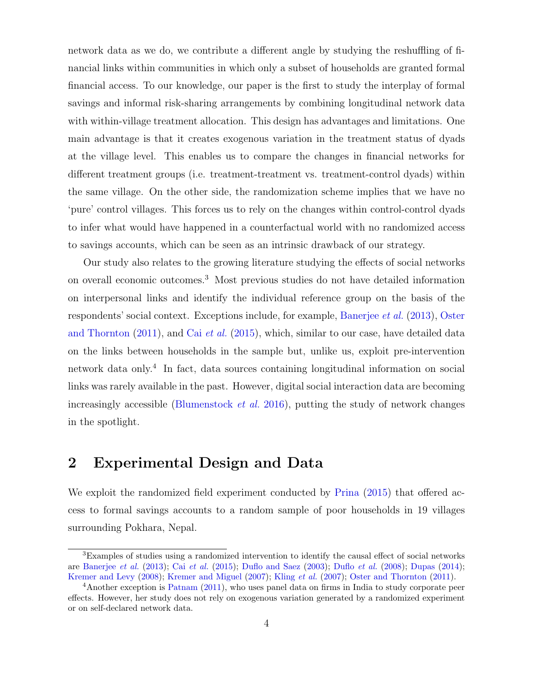network data as we do, we contribute a different angle by studying the reshuffling of financial links within communities in which only a subset of households are granted formal financial access. To our knowledge, our paper is the first to study the interplay of formal savings and informal risk-sharing arrangements by combining longitudinal network data with within-village treatment allocation. This design has advantages and limitations. One main advantage is that it creates exogenous variation in the treatment status of dyads at the village level. This enables us to compare the changes in financial networks for different treatment groups (i.e. treatment-treatment vs. treatment-control dyads) within the same village. On the other side, the randomization scheme implies that we have no 'pure' control villages. This forces us to rely on the changes within control-control dyads to infer what would have happened in a counterfactual world with no randomized access to savings accounts, which can be seen as an intrinsic drawback of our strategy.

Our study also relates to the growing literature studying the effects of social networks on overall economic outcomes.<sup>3</sup> Most previous studies do not have detailed information on interpersonal links and identify the individual reference group on the basis of the respondents' social context. Exceptions include, for example, [Banerjee](#page-16-2) et al. [\(2013\)](#page-16-2), [Oster](#page-18-4) [and Thornton](#page-18-4)  $(2011)$ , and Cai *[et al.](#page-16-4)*  $(2015)$ , which, similar to our case, have detailed data on the links between households in the sample but, unlike us, exploit pre-intervention network data only.<sup>4</sup> In fact, data sources containing longitudinal information on social links was rarely available in the past. However, digital social interaction data are becoming increasingly accessible [\(Blumenstock](#page-16-5) *et al.* [2016\)](#page-16-5), putting the study of network changes in the spotlight.

### 2 Experimental Design and Data

We exploit the randomized field experiment conducted by [Prina](#page-19-0) [\(2015\)](#page-19-0) that offered access to formal savings accounts to a random sample of poor households in 19 villages surrounding Pokhara, Nepal.

<sup>3</sup>Examples of studies using a randomized intervention to identify the causal effect of social networks are [Banerjee](#page-16-2) *[et al.](#page-16-4)* [\(2013\)](#page-16-2); Cai *et al.* [\(2015\)](#page-16-4); [Duflo and Saez](#page-17-5) [\(2003\)](#page-17-5); [Duflo](#page-17-6) *et al.* [\(2008\)](#page-17-6); [Dupas](#page-17-7) [\(2014\)](#page-17-7); [Kremer and Levy](#page-18-5) [\(2008\)](#page-18-5); [Kremer and Miguel](#page-18-6) [\(2007\)](#page-18-7); [Kling](#page-18-7) *et al.* (2007); [Oster and Thornton](#page-18-4) [\(2011\)](#page-18-4).

<sup>&</sup>lt;sup>4</sup>Another exception is [Patnam](#page-19-2) [\(2011\)](#page-19-2), who uses panel data on firms in India to study corporate peer effects. However, her study does not rely on exogenous variation generated by a randomized experiment or on self-declared network data.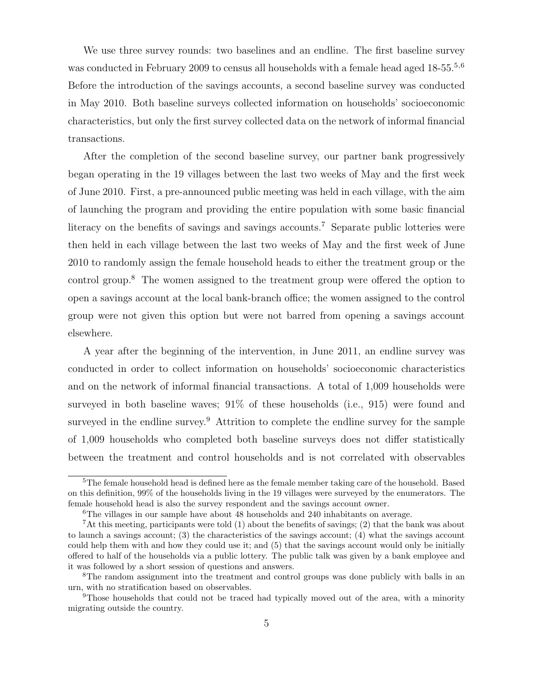We use three survey rounds: two baselines and an endline. The first baseline survey was conducted in February 2009 to census all households with a female head aged 18-55.<sup>5,6</sup> Before the introduction of the savings accounts, a second baseline survey was conducted in May 2010. Both baseline surveys collected information on households' socioeconomic characteristics, but only the first survey collected data on the network of informal financial transactions.

After the completion of the second baseline survey, our partner bank progressively began operating in the 19 villages between the last two weeks of May and the first week of June 2010. First, a pre-announced public meeting was held in each village, with the aim of launching the program and providing the entire population with some basic financial literacy on the benefits of savings and savings accounts.<sup>7</sup> Separate public lotteries were then held in each village between the last two weeks of May and the first week of June 2010 to randomly assign the female household heads to either the treatment group or the control group.<sup>8</sup> The women assigned to the treatment group were offered the option to open a savings account at the local bank-branch office; the women assigned to the control group were not given this option but were not barred from opening a savings account elsewhere.

A year after the beginning of the intervention, in June 2011, an endline survey was conducted in order to collect information on households' socioeconomic characteristics and on the network of informal financial transactions. A total of 1,009 households were surveyed in both baseline waves;  $91\%$  of these households (i.e.,  $915$ ) were found and surveyed in the endline survey.<sup>9</sup> Attrition to complete the endline survey for the sample of 1,009 households who completed both baseline surveys does not differ statistically between the treatment and control households and is not correlated with observables

<sup>&</sup>lt;sup>5</sup>The female household head is defined here as the female member taking care of the household. Based on this definition, 99% of the households living in the 19 villages were surveyed by the enumerators. The female household head is also the survey respondent and the savings account owner.

<sup>6</sup>The villages in our sample have about 48 households and 240 inhabitants on average.

<sup>7</sup>At this meeting, participants were told (1) about the benefits of savings; (2) that the bank was about to launch a savings account; (3) the characteristics of the savings account; (4) what the savings account could help them with and how they could use it; and (5) that the savings account would only be initially offered to half of the households via a public lottery. The public talk was given by a bank employee and it was followed by a short session of questions and answers.

<sup>&</sup>lt;sup>8</sup>The random assignment into the treatment and control groups was done publicly with balls in an urn, with no stratification based on observables.

<sup>9</sup>Those households that could not be traced had typically moved out of the area, with a minority migrating outside the country.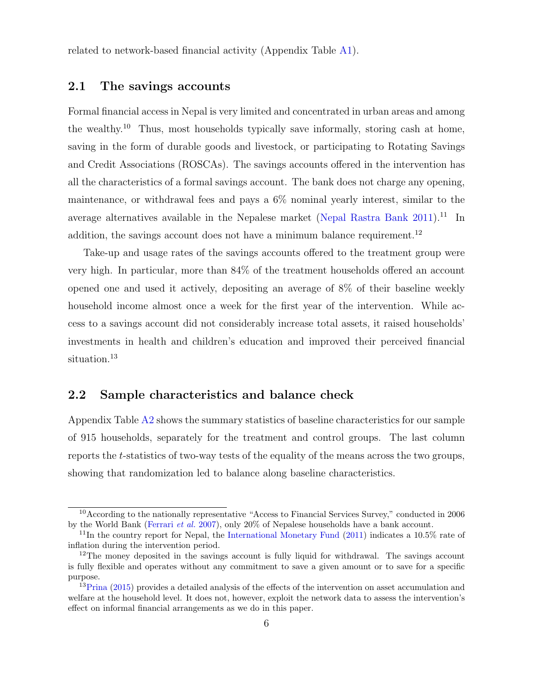related to network-based financial activity (Appendix Table [A1\)](#page-20-0).

#### 2.1 The savings accounts

Formal financial access in Nepal is very limited and concentrated in urban areas and among the wealthy.<sup>10</sup> Thus, most households typically save informally, storing cash at home, saving in the form of durable goods and livestock, or participating to Rotating Savings and Credit Associations (ROSCAs). The savings accounts offered in the intervention has all the characteristics of a formal savings account. The bank does not charge any opening, maintenance, or withdrawal fees and pays a 6% nominal yearly interest, similar to the average alternatives available in the Nepalese market [\(Nepal Rastra Bank](#page-18-8)  $2011$ ).<sup>11</sup> In addition, the savings account does not have a minimum balance requirement.<sup>12</sup>

Take-up and usage rates of the savings accounts offered to the treatment group were very high. In particular, more than 84% of the treatment households offered an account opened one and used it actively, depositing an average of 8% of their baseline weekly household income almost once a week for the first year of the intervention. While access to a savings account did not considerably increase total assets, it raised households' investments in health and children's education and improved their perceived financial situation.<sup>13</sup>

#### 2.2 Sample characteristics and balance check

Appendix Table [A2](#page-21-0) shows the summary statistics of baseline characteristics for our sample of 915 households, separately for the treatment and control groups. The last column reports the t-statistics of two-way tests of the equality of the means across the two groups, showing that randomization led to balance along baseline characteristics.

<sup>10</sup>According to the nationally representative "Access to Financial Services Survey," conducted in 2006 by the World Bank [\(Ferrari](#page-18-9) et al. [2007\)](#page-18-9), only 20% of Nepalese households have a bank account.

 $11$ In the country report for Nepal, the [International Monetary Fund](#page-18-10) [\(2011\)](#page-18-10) indicates a 10.5% rate of inflation during the intervention period.

<sup>&</sup>lt;sup>12</sup>The money deposited in the savings account is fully liquid for withdrawal. The savings account is fully flexible and operates without any commitment to save a given amount or to save for a specific purpose.

<sup>&</sup>lt;sup>13</sup>[Prina](#page-19-0) [\(2015\)](#page-19-0) provides a detailed analysis of the effects of the intervention on asset accumulation and welfare at the household level. It does not, however, exploit the network data to assess the intervention's effect on informal financial arrangements as we do in this paper.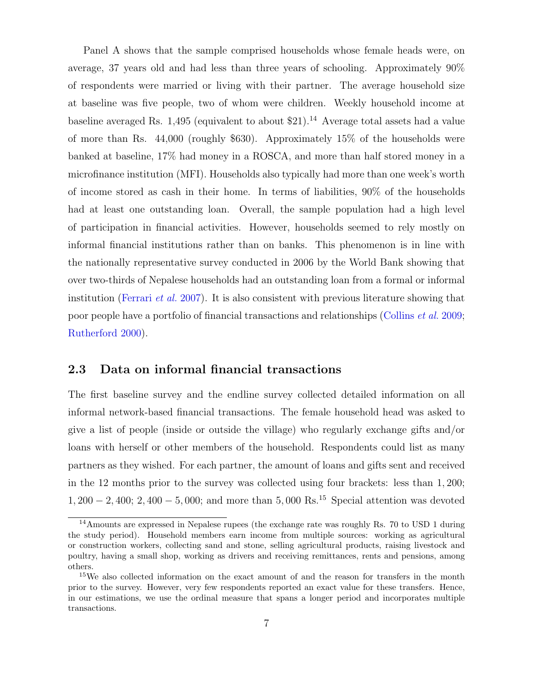Panel A shows that the sample comprised households whose female heads were, on average, 37 years old and had less than three years of schooling. Approximately 90% of respondents were married or living with their partner. The average household size at baseline was five people, two of whom were children. Weekly household income at baseline averaged Rs. 1,495 (equivalent to about  $21$ ).<sup>14</sup> Average total assets had a value of more than Rs. 44,000 (roughly \$630). Approximately 15% of the households were banked at baseline, 17% had money in a ROSCA, and more than half stored money in a microfinance institution (MFI). Households also typically had more than one week's worth of income stored as cash in their home. In terms of liabilities, 90% of the households had at least one outstanding loan. Overall, the sample population had a high level of participation in financial activities. However, households seemed to rely mostly on informal financial institutions rather than on banks. This phenomenon is in line with the nationally representative survey conducted in 2006 by the World Bank showing that over two-thirds of Nepalese households had an outstanding loan from a formal or informal institution [\(Ferrari](#page-18-9) *et al.* [2007\)](#page-18-9). It is also consistent with previous literature showing that poor people have a portfolio of financial transactions and relationships [\(Collins](#page-16-6) et al. [2009;](#page-16-6) [Rutherford](#page-19-3) [2000\)](#page-19-3).

#### 2.3 Data on informal financial transactions

The first baseline survey and the endline survey collected detailed information on all informal network-based financial transactions. The female household head was asked to give a list of people (inside or outside the village) who regularly exchange gifts and/or loans with herself or other members of the household. Respondents could list as many partners as they wished. For each partner, the amount of loans and gifts sent and received in the 12 months prior to the survey was collected using four brackets: less than 1, 200;  $1,200 - 2,400; 2,400 - 5,000;$  and more than 5,000 Rs.<sup>15</sup> Special attention was devoted

<sup>14</sup>Amounts are expressed in Nepalese rupees (the exchange rate was roughly Rs. 70 to USD 1 during the study period). Household members earn income from multiple sources: working as agricultural or construction workers, collecting sand and stone, selling agricultural products, raising livestock and poultry, having a small shop, working as drivers and receiving remittances, rents and pensions, among others.

<sup>15</sup>We also collected information on the exact amount of and the reason for transfers in the month prior to the survey. However, very few respondents reported an exact value for these transfers. Hence, in our estimations, we use the ordinal measure that spans a longer period and incorporates multiple transactions.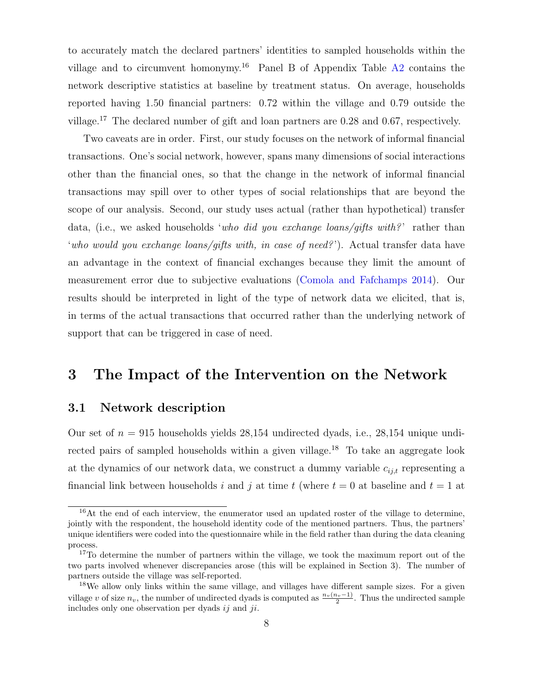to accurately match the declared partners' identities to sampled households within the village and to circumvent homonymy.<sup>16</sup> Panel B of Appendix Table  $A2$  contains the network descriptive statistics at baseline by treatment status. On average, households reported having 1.50 financial partners: 0.72 within the village and 0.79 outside the village.<sup>17</sup> The declared number of gift and loan partners are 0.28 and 0.67, respectively.

Two caveats are in order. First, our study focuses on the network of informal financial transactions. One's social network, however, spans many dimensions of social interactions other than the financial ones, so that the change in the network of informal financial transactions may spill over to other types of social relationships that are beyond the scope of our analysis. Second, our study uses actual (rather than hypothetical) transfer data, (i.e., we asked households 'who did you exchange loans/gifts with?' rather than 'who would you exchange loans/gifts with, in case of need?'). Actual transfer data have an advantage in the context of financial exchanges because they limit the amount of measurement error due to subjective evaluations [\(Comola and Fafchamps](#page-16-7) [2014\)](#page-16-7). Our results should be interpreted in light of the type of network data we elicited, that is, in terms of the actual transactions that occurred rather than the underlying network of support that can be triggered in case of need.

### <span id="page-7-0"></span>3 The Impact of the Intervention on the Network

#### 3.1 Network description

Our set of  $n = 915$  households yields 28,154 undirected dyads, i.e., 28,154 unique undirected pairs of sampled households within a given village.<sup>18</sup> To take an aggregate look at the dynamics of our network data, we construct a dummy variable  $c_{ij,t}$  representing a financial link between households i and j at time t (where  $t = 0$  at baseline and  $t = 1$  at

 $16$ At the end of each interview, the enumerator used an updated roster of the village to determine, jointly with the respondent, the household identity code of the mentioned partners. Thus, the partners' unique identifiers were coded into the questionnaire while in the field rather than during the data cleaning process.

<sup>&</sup>lt;sup>17</sup>To determine the number of partners within the village, we took the maximum report out of the two parts involved whenever discrepancies arose (this will be explained in Section 3). The number of partners outside the village was self-reported.

<sup>&</sup>lt;sup>18</sup>We allow only links within the same village, and villages have different sample sizes. For a given village v of size  $n_v$ , the number of undirected dyads is computed as  $\frac{n_v(n_v-1)}{2}$ . Thus the undirected sample includes only one observation per dyads  $ii$  and  $ii$ .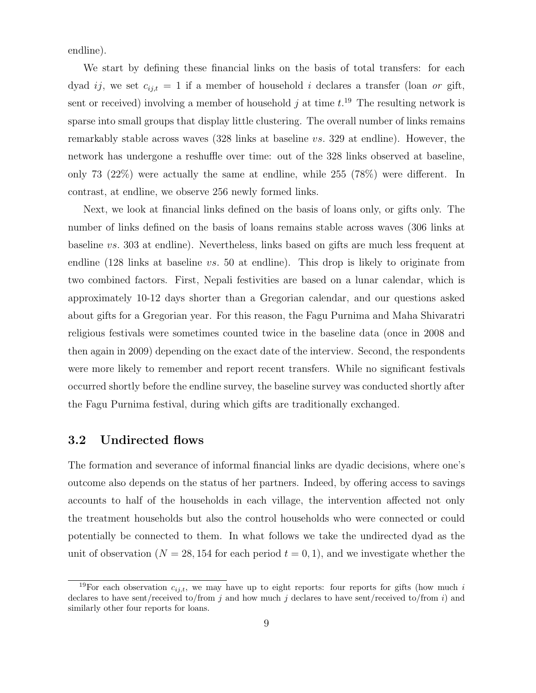endline).

We start by defining these financial links on the basis of total transfers: for each dyad ij, we set  $c_{ij,t} = 1$  if a member of household i declares a transfer (loan or gift, sent or received) involving a member of household  $j$  at time  $t$ .<sup>19</sup> The resulting network is sparse into small groups that display little clustering. The overall number of links remains remarkably stable across waves (328 links at baseline vs. 329 at endline). However, the network has undergone a reshuffle over time: out of the 328 links observed at baseline, only 73 (22%) were actually the same at endline, while 255 (78%) were different. In contrast, at endline, we observe 256 newly formed links.

Next, we look at financial links defined on the basis of loans only, or gifts only. The number of links defined on the basis of loans remains stable across waves (306 links at baseline vs. 303 at endline). Nevertheless, links based on gifts are much less frequent at endline  $(128 \text{ links at baseline } vs. 50 \text{ at ending}).$  This drop is likely to originate from two combined factors. First, Nepali festivities are based on a lunar calendar, which is approximately 10-12 days shorter than a Gregorian calendar, and our questions asked about gifts for a Gregorian year. For this reason, the Fagu Purnima and Maha Shivaratri religious festivals were sometimes counted twice in the baseline data (once in 2008 and then again in 2009) depending on the exact date of the interview. Second, the respondents were more likely to remember and report recent transfers. While no significant festivals occurred shortly before the endline survey, the baseline survey was conducted shortly after the Fagu Purnima festival, during which gifts are traditionally exchanged.

#### 3.2 Undirected flows

The formation and severance of informal financial links are dyadic decisions, where one's outcome also depends on the status of her partners. Indeed, by offering access to savings accounts to half of the households in each village, the intervention affected not only the treatment households but also the control households who were connected or could potentially be connected to them. In what follows we take the undirected dyad as the unit of observation ( $N = 28, 154$  for each period  $t = 0, 1$ ), and we investigate whether the

<sup>&</sup>lt;sup>19</sup>For each observation  $c_{ij,t}$ , we may have up to eight reports: four reports for gifts (how much i declares to have sent/received to/from j and how much j declares to have sent/received to/from i) and similarly other four reports for loans.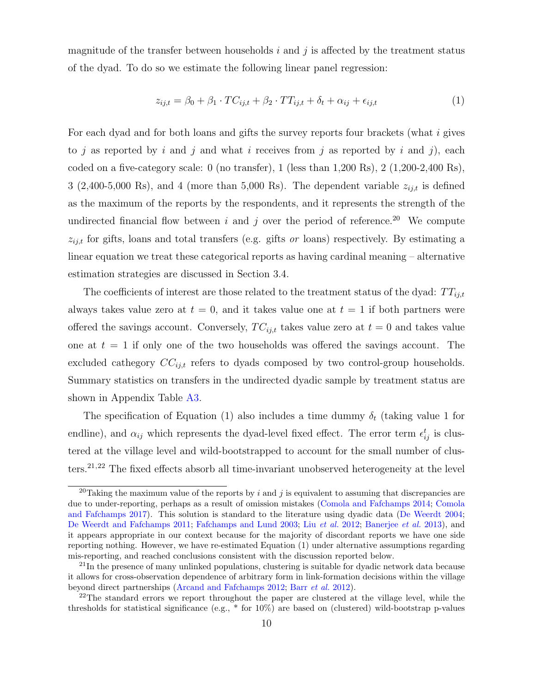magnitude of the transfer between households i and j is affected by the treatment status of the dyad. To do so we estimate the following linear panel regression:

$$
z_{ij,t} = \beta_0 + \beta_1 \cdot TC_{ij,t} + \beta_2 \cdot TT_{ij,t} + \delta_t + \alpha_{ij} + \epsilon_{ij,t}
$$
\n
$$
\tag{1}
$$

For each dyad and for both loans and gifts the survey reports four brackets (what i gives to j as reported by i and j and what i receives from j as reported by i and j), each coded on a five-category scale: 0 (no transfer), 1 (less than 1,200 Rs), 2 (1,200-2,400 Rs), 3 (2,400-5,000 Rs), and 4 (more than 5,000 Rs). The dependent variable  $z_{ij,t}$  is defined as the maximum of the reports by the respondents, and it represents the strength of the undirected financial flow between i and j over the period of reference.<sup>20</sup> We compute  $z_{ij,t}$  for gifts, loans and total transfers (e.g. gifts or loans) respectively. By estimating a linear equation we treat these categorical reports as having cardinal meaning – alternative estimation strategies are discussed in Section 3.4.

The coefficients of interest are those related to the treatment status of the dyad:  $TT_{ij,t}$ always takes value zero at  $t = 0$ , and it takes value one at  $t = 1$  if both partners were offered the savings account. Conversely,  $TC_{i,i,t}$  takes value zero at  $t = 0$  and takes value one at  $t = 1$  if only one of the two households was offered the savings account. The excluded cathegory  $CC_{ij,t}$  refers to dyads composed by two control-group households. Summary statistics on transfers in the undirected dyadic sample by treatment status are shown in Appendix Table [A3.](#page-22-0)

The specification of Equation (1) also includes a time dummy  $\delta_t$  (taking value 1 for endline), and  $\alpha_{ij}$  which represents the dyad-level fixed effect. The error term  $\epsilon_{ij}^t$  is clustered at the village level and wild-bootstrapped to account for the small number of clusters.<sup>21</sup>,<sup>22</sup> The fixed effects absorb all time-invariant unobserved heterogeneity at the level

<sup>&</sup>lt;sup>20</sup>Taking the maximum value of the reports by i and j is equivalent to assuming that discrepancies are due to under-reporting, perhaps as a result of omission mistakes [\(Comola and Fafchamps](#page-16-7) [2014;](#page-16-7) [Comola](#page-17-8) [and Fafchamps](#page-17-8) [2017\)](#page-17-8). This solution is standard to the literature using dyadic data [\(De Weerdt](#page-17-9) [2004;](#page-17-9) [De Weerdt and Fafchamps](#page-17-10) [2011;](#page-17-10) [Fafchamps and Lund](#page-18-11) [2003;](#page-18-11) Liu [et al.](#page-18-12) [2012;](#page-18-12) [Banerjee](#page-16-2) et al. [2013\)](#page-16-2), and it appears appropriate in our context because for the majority of discordant reports we have one side reporting nothing. However, we have re-estimated Equation (1) under alternative assumptions regarding mis-reporting, and reached conclusions consistent with the discussion reported below.

 $^{21}$ In the presence of many unlinked populations, clustering is suitable for dyadic network data because it allows for cross-observation dependence of arbitrary form in link-formation decisions within the village beyond direct partnerships [\(Arcand and Fafchamps](#page-16-8) [2012;](#page-16-8) Barr [et al.](#page-16-9) [2012\)](#page-16-9).

<sup>&</sup>lt;sup>22</sup>The standard errors we report throughout the paper are clustered at the village level, while the thresholds for statistical significance (e.g.,  $*$  for  $10\%$ ) are based on (clustered) wild-bootstrap p-values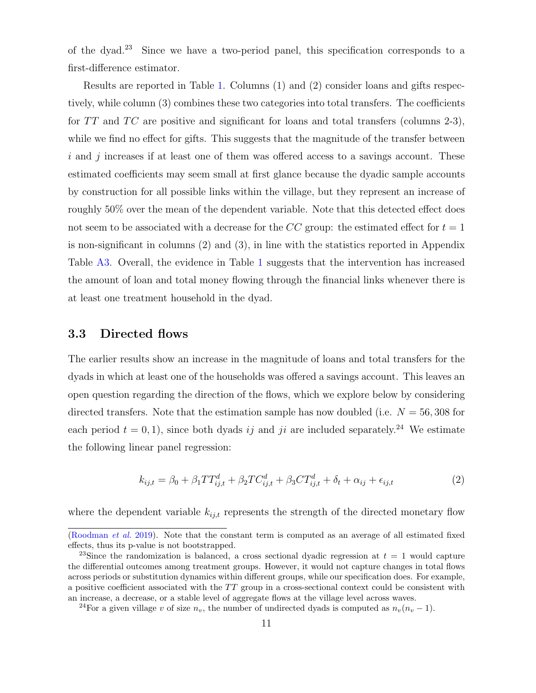of the dyad.<sup>23</sup> Since we have a two-period panel, this specification corresponds to a first-difference estimator.

Results are reported in Table [1.](#page-20-0) Columns (1) and (2) consider loans and gifts respectively, while column (3) combines these two categories into total transfers. The coefficients for  $TT$  and  $TC$  are positive and significant for loans and total transfers (columns 2-3), while we find no effect for gifts. This suggests that the magnitude of the transfer between  $i$  and  $j$  increases if at least one of them was offered access to a savings account. These estimated coefficients may seem small at first glance because the dyadic sample accounts by construction for all possible links within the village, but they represent an increase of roughly 50% over the mean of the dependent variable. Note that this detected effect does not seem to be associated with a decrease for the CC group: the estimated effect for  $t = 1$ is non-significant in columns (2) and (3), in line with the statistics reported in Appendix Table [A3.](#page-22-0) Overall, the evidence in Table [1](#page-20-0) suggests that the intervention has increased the amount of loan and total money flowing through the financial links whenever there is at least one treatment household in the dyad.

#### 3.3 Directed flows

The earlier results show an increase in the magnitude of loans and total transfers for the dyads in which at least one of the households was offered a savings account. This leaves an open question regarding the direction of the flows, which we explore below by considering directed transfers. Note that the estimation sample has now doubled (i.e.  $N = 56,308$  for each period  $t = 0, 1$ , since both dyads ij and ji are included separately.<sup>24</sup> We estimate the following linear panel regression:

$$
k_{ij,t} = \beta_0 + \beta_1 TT_{ij,t}^d + \beta_2 TC_{ij,t}^d + \beta_3 CT_{ij,t}^d + \delta_t + \alpha_{ij} + \epsilon_{ij,t}
$$
 (2)

where the dependent variable  $k_{ij,t}$  represents the strength of the directed monetary flow

[<sup>\(</sup>Roodman](#page-19-4) et al. [2019\)](#page-19-4). Note that the constant term is computed as an average of all estimated fixed effects, thus its p-value is not bootstrapped.

<sup>&</sup>lt;sup>23</sup>Since the randomization is balanced, a cross sectional dyadic regression at  $t = 1$  would capture the differential outcomes among treatment groups. However, it would not capture changes in total flows across periods or substitution dynamics within different groups, while our specification does. For example, a positive coefficient associated with the  $TT$  group in a cross-sectional context could be consistent with an increase, a decrease, or a stable level of aggregate flows at the village level across waves.

<sup>&</sup>lt;sup>24</sup>For a given village v of size  $n_v$ , the number of undirected dyads is computed as  $n_v(n_v - 1)$ .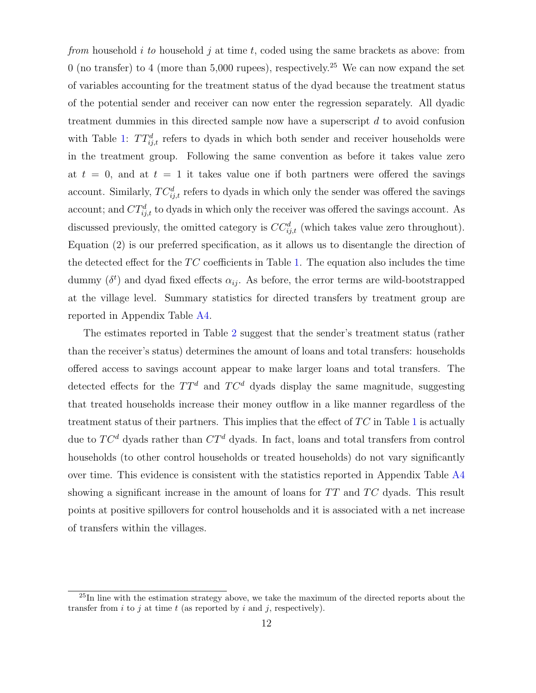from household i to household j at time t, coded using the same brackets as above: from 0 (no transfer) to 4 (more than 5,000 rupees), respectively.<sup>25</sup> We can now expand the set of variables accounting for the treatment status of the dyad because the treatment status of the potential sender and receiver can now enter the regression separately. All dyadic treatment dummies in this directed sample now have a superscript  $d$  to avoid confusion with Table [1:](#page-20-0)  $TT_{ij,t}^d$  refers to dyads in which both sender and receiver households were in the treatment group. Following the same convention as before it takes value zero at  $t = 0$ , and at  $t = 1$  it takes value one if both partners were offered the savings account. Similarly,  $TC_{i,j,t}^d$  refers to dyads in which only the sender was offered the savings account; and  $CT_{ij,t}^d$  to dyads in which only the receiver was offered the savings account. As discussed previously, the omitted category is  $CC_{ij,t}^d$  (which takes value zero throughout). Equation (2) is our preferred specification, as it allows us to disentangle the direction of the detected effect for the  $TC$  coefficients in Table [1.](#page-20-0) The equation also includes the time dummy  $(\delta^t)$  and dyad fixed effects  $\alpha_{ij}$ . As before, the error terms are wild-bootstrapped at the village level. Summary statistics for directed transfers by treatment group are reported in Appendix Table [A4.](#page-26-0)

The estimates reported in Table [2](#page-21-0) suggest that the sender's treatment status (rather than the receiver's status) determines the amount of loans and total transfers: households offered access to savings account appear to make larger loans and total transfers. The detected effects for the  $TT^d$  and  $TC^d$  dyads display the same magnitude, suggesting that treated households increase their money outflow in a like manner regardless of the treatment status of their partners. This implies that the effect of  $TC$  in Table [1](#page-20-0) is actually due to  $TC^d$  dyads rather than  $CT^d$  dyads. In fact, loans and total transfers from control households (to other control households or treated households) do not vary significantly over time. This evidence is consistent with the statistics reported in Appendix Table [A4](#page-26-0) showing a significant increase in the amount of loans for  $TT$  and  $TC$  dyads. This result points at positive spillovers for control households and it is associated with a net increase of transfers within the villages.

 $^{25}$ In line with the estimation strategy above, we take the maximum of the directed reports about the transfer from i to j at time t (as reported by i and j, respectively).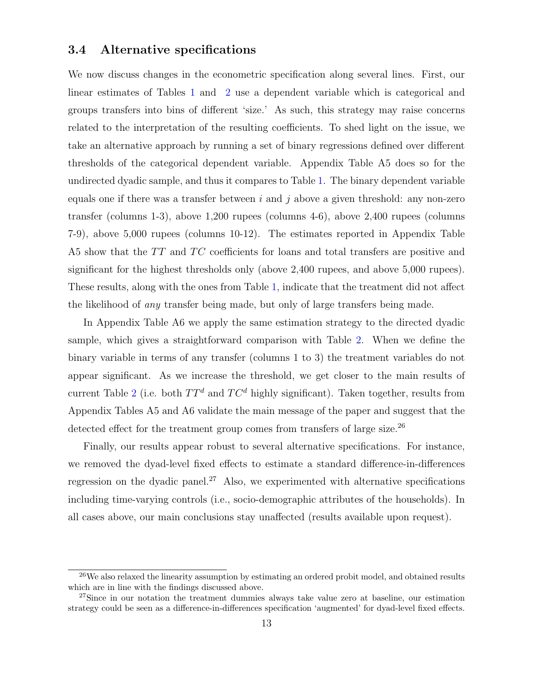#### 3.4 Alternative specifications

We now discuss changes in the econometric specification along several lines. First, our linear estimates of Tables [1](#page-20-0) and [2](#page-21-0) use a dependent variable which is categorical and groups transfers into bins of different 'size.' As such, this strategy may raise concerns related to the interpretation of the resulting coefficients. To shed light on the issue, we take an alternative approach by running a set of binary regressions defined over different thresholds of the categorical dependent variable. Appendix Table A5 does so for the undirected dyadic sample, and thus it compares to Table [1.](#page-20-0) The binary dependent variable equals one if there was a transfer between  $i$  and  $j$  above a given threshold: any non-zero transfer (columns 1-3), above 1,200 rupees (columns 4-6), above 2,400 rupees (columns 7-9), above 5,000 rupees (columns 10-12). The estimates reported in Appendix Table A5 show that the  $TT$  and  $TC$  coefficients for loans and total transfers are positive and significant for the highest thresholds only (above 2,400 rupees, and above 5,000 rupees). These results, along with the ones from Table [1,](#page-20-0) indicate that the treatment did not affect the likelihood of any transfer being made, but only of large transfers being made.

In Appendix Table A6 we apply the same estimation strategy to the directed dyadic sample, which gives a straightforward comparison with Table [2.](#page-21-0) When we define the binary variable in terms of any transfer (columns 1 to 3) the treatment variables do not appear significant. As we increase the threshold, we get closer to the main results of current Table [2](#page-21-0) (i.e. both  $TT^d$  and  $TC^d$  highly significant). Taken together, results from Appendix Tables A5 and A6 validate the main message of the paper and suggest that the detected effect for the treatment group comes from transfers of large size.<sup>26</sup>

Finally, our results appear robust to several alternative specifications. For instance, we removed the dyad-level fixed effects to estimate a standard difference-in-differences regression on the dyadic panel.<sup>27</sup> Also, we experimented with alternative specifications including time-varying controls (i.e., socio-demographic attributes of the households). In all cases above, our main conclusions stay unaffected (results available upon request).

<sup>&</sup>lt;sup>26</sup>We also relaxed the linearity assumption by estimating an ordered probit model, and obtained results which are in line with the findings discussed above.

 $27\text{Since}$  in our notation the treatment dummies always take value zero at baseline, our estimation strategy could be seen as a difference-in-differences specification 'augmented' for dyad-level fixed effects.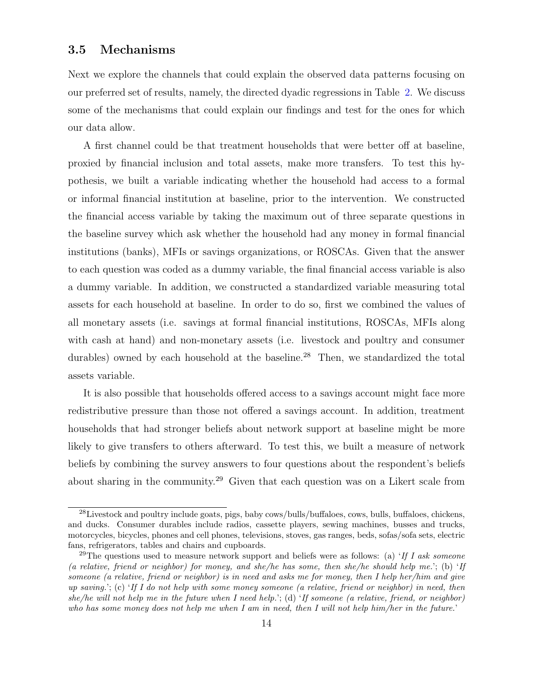#### 3.5 Mechanisms

Next we explore the channels that could explain the observed data patterns focusing on our preferred set of results, namely, the directed dyadic regressions in Table [2.](#page-21-0) We discuss some of the mechanisms that could explain our findings and test for the ones for which our data allow.

A first channel could be that treatment households that were better off at baseline, proxied by financial inclusion and total assets, make more transfers. To test this hypothesis, we built a variable indicating whether the household had access to a formal or informal financial institution at baseline, prior to the intervention. We constructed the financial access variable by taking the maximum out of three separate questions in the baseline survey which ask whether the household had any money in formal financial institutions (banks), MFIs or savings organizations, or ROSCAs. Given that the answer to each question was coded as a dummy variable, the final financial access variable is also a dummy variable. In addition, we constructed a standardized variable measuring total assets for each household at baseline. In order to do so, first we combined the values of all monetary assets (i.e. savings at formal financial institutions, ROSCAs, MFIs along with cash at hand) and non-monetary assets (i.e. livestock and poultry and consumer durables) owned by each household at the baseline.<sup>28</sup> Then, we standardized the total assets variable.

It is also possible that households offered access to a savings account might face more redistributive pressure than those not offered a savings account. In addition, treatment households that had stronger beliefs about network support at baseline might be more likely to give transfers to others afterward. To test this, we built a measure of network beliefs by combining the survey answers to four questions about the respondent's beliefs about sharing in the community.<sup>29</sup> Given that each question was on a Likert scale from

<sup>28</sup>Livestock and poultry include goats, pigs, baby cows/bulls/buffaloes, cows, bulls, buffaloes, chickens, and ducks. Consumer durables include radios, cassette players, sewing machines, busses and trucks, motorcycles, bicycles, phones and cell phones, televisions, stoves, gas ranges, beds, sofas/sofa sets, electric fans, refrigerators, tables and chairs and cupboards.

<sup>&</sup>lt;sup>29</sup>The questions used to measure network support and beliefs were as follows: (a) 'If I ask someone (a relative, friend or neighbor) for money, and she/he has some, then she/he should help me.'; (b) 'If someone (a relative, friend or neighbor) is in need and asks me for money, then I help her/him and give up saving.'; (c) 'If I do not help with some money someone (a relative, friend or neighbor) in need, then she/he will not help me in the future when I need help.'; (d) 'If someone (a relative, friend, or neighbor) who has some money does not help me when I am in need, then I will not help him/her in the future.'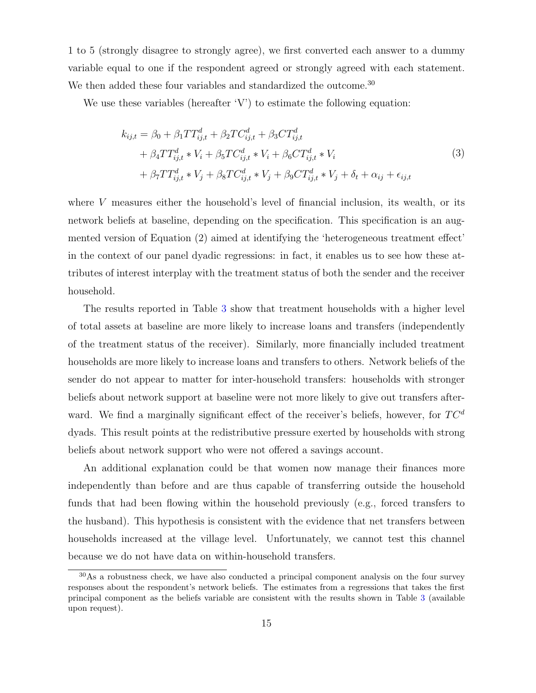1 to 5 (strongly disagree to strongly agree), we first converted each answer to a dummy variable equal to one if the respondent agreed or strongly agreed with each statement. We then added these four variables and standardized the outcome.<sup>30</sup>

We use these variables (hereafter 'V') to estimate the following equation:

$$
k_{ij,t} = \beta_0 + \beta_1 TT_{ij,t}^d + \beta_2 TC_{ij,t}^d + \beta_3 CT_{ij,t}^d
$$
  
+  $\beta_4 TT_{ij,t}^d * V_i + \beta_5 TC_{ij,t}^d * V_i + \beta_6 CT_{ij,t}^d * V_i$   
+  $\beta_7 TT_{ij,t}^d * V_j + \beta_8 TC_{ij,t}^d * V_j + \beta_9 CT_{ij,t}^d * V_j + \delta_t + \alpha_{ij} + \epsilon_{ij,t}$  (3)

where V measures either the household's level of financial inclusion, its wealth, or its network beliefs at baseline, depending on the specification. This specification is an augmented version of Equation (2) aimed at identifying the 'heterogeneous treatment effect' in the context of our panel dyadic regressions: in fact, it enables us to see how these attributes of interest interplay with the treatment status of both the sender and the receiver household.

The results reported in Table [3](#page-22-0) show that treatment households with a higher level of total assets at baseline are more likely to increase loans and transfers (independently of the treatment status of the receiver). Similarly, more financially included treatment households are more likely to increase loans and transfers to others. Network beliefs of the sender do not appear to matter for inter-household transfers: households with stronger beliefs about network support at baseline were not more likely to give out transfers afterward. We find a marginally significant effect of the receiver's beliefs, however, for  $TC^d$ dyads. This result points at the redistributive pressure exerted by households with strong beliefs about network support who were not offered a savings account.

An additional explanation could be that women now manage their finances more independently than before and are thus capable of transferring outside the household funds that had been flowing within the household previously (e.g., forced transfers to the husband). This hypothesis is consistent with the evidence that net transfers between households increased at the village level. Unfortunately, we cannot test this channel because we do not have data on within-household transfers.

<sup>&</sup>lt;sup>30</sup>As a robustness check, we have also conducted a principal component analysis on the four survey responses about the respondent's network beliefs. The estimates from a regressions that takes the first principal component as the beliefs variable are consistent with the results shown in Table [3](#page-22-0) (available upon request).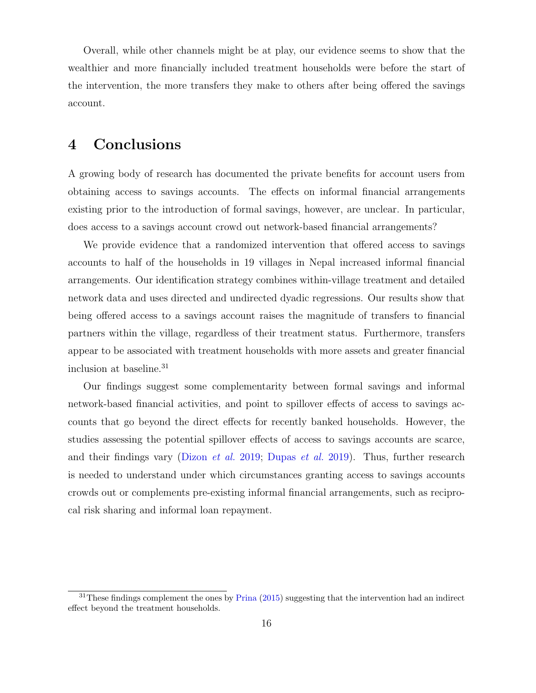Overall, while other channels might be at play, our evidence seems to show that the wealthier and more financially included treatment households were before the start of the intervention, the more transfers they make to others after being offered the savings account.

## 4 Conclusions

A growing body of research has documented the private benefits for account users from obtaining access to savings accounts. The effects on informal financial arrangements existing prior to the introduction of formal savings, however, are unclear. In particular, does access to a savings account crowd out network-based financial arrangements?

We provide evidence that a randomized intervention that offered access to savings accounts to half of the households in 19 villages in Nepal increased informal financial arrangements. Our identification strategy combines within-village treatment and detailed network data and uses directed and undirected dyadic regressions. Our results show that being offered access to a savings account raises the magnitude of transfers to financial partners within the village, regardless of their treatment status. Furthermore, transfers appear to be associated with treatment households with more assets and greater financial inclusion at baseline.<sup>31</sup>

Our findings suggest some complementarity between formal savings and informal network-based financial activities, and point to spillover effects of access to savings accounts that go beyond the direct effects for recently banked households. However, the studies assessing the potential spillover effects of access to savings accounts are scarce, and their findings vary [\(Dizon](#page-17-4) et al. [2019;](#page-17-4) [Dupas](#page-17-3) et al. [2019\)](#page-17-3). Thus, further research is needed to understand under which circumstances granting access to savings accounts crowds out or complements pre-existing informal financial arrangements, such as reciprocal risk sharing and informal loan repayment.

 $31$ These findings complement the ones by [Prina](#page-19-0) [\(2015\)](#page-19-0) suggesting that the intervention had an indirect effect beyond the treatment households.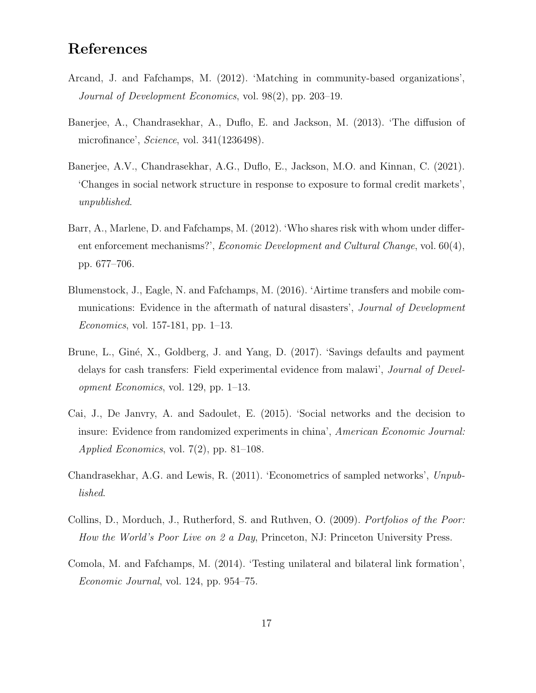# References

- <span id="page-16-8"></span>Arcand, J. and Fafchamps, M. (2012). 'Matching in community-based organizations', Journal of Development Economics, vol. 98(2), pp. 203–19.
- <span id="page-16-2"></span>Banerjee, A., Chandrasekhar, A., Duflo, E. and Jackson, M. (2013). 'The diffusion of microfinance', Science, vol. 341(1236498).
- <span id="page-16-3"></span>Banerjee, A.V., Chandrasekhar, A.G., Duflo, E., Jackson, M.O. and Kinnan, C. (2021). 'Changes in social network structure in response to exposure to formal credit markets', unpublished.
- <span id="page-16-9"></span>Barr, A., Marlene, D. and Fafchamps, M. (2012). 'Who shares risk with whom under different enforcement mechanisms?', Economic Development and Cultural Change, vol. 60(4), pp. 677–706.
- <span id="page-16-5"></span>Blumenstock, J., Eagle, N. and Fafchamps, M. (2016). 'Airtime transfers and mobile communications: Evidence in the aftermath of natural disasters', *Journal of Development* Economics, vol. 157-181, pp. 1–13.
- <span id="page-16-0"></span>Brune, L., Giné, X., Goldberg, J. and Yang, D. (2017). 'Savings defaults and payment delays for cash transfers: Field experimental evidence from malawi', Journal of Development Economics, vol. 129, pp. 1–13.
- <span id="page-16-4"></span>Cai, J., De Janvry, A. and Sadoulet, E. (2015). 'Social networks and the decision to insure: Evidence from randomized experiments in china', American Economic Journal: *Applied Economics*, vol. 7(2), pp. 81–108.
- <span id="page-16-1"></span>Chandrasekhar, A.G. and Lewis, R. (2011). 'Econometrics of sampled networks', Unpublished.
- <span id="page-16-6"></span>Collins, D., Morduch, J., Rutherford, S. and Ruthven, O. (2009). Portfolios of the Poor: How the World's Poor Live on 2 a Day, Princeton, NJ: Princeton University Press.
- <span id="page-16-7"></span>Comola, M. and Fafchamps, M. (2014). 'Testing unilateral and bilateral link formation', Economic Journal, vol. 124, pp. 954–75.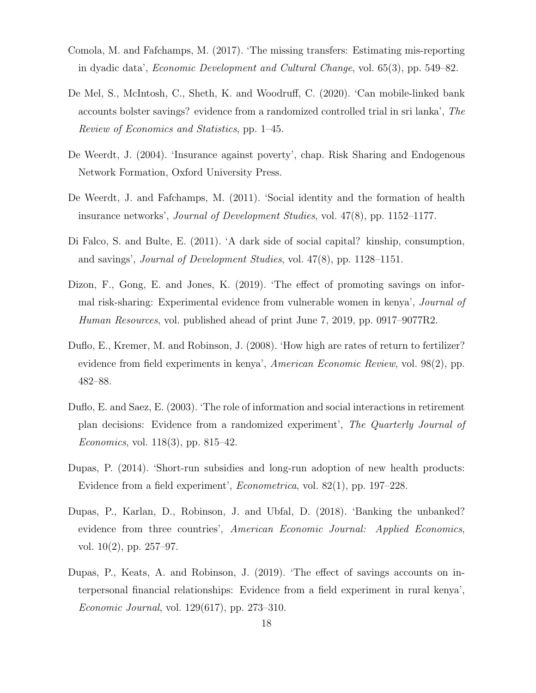- <span id="page-17-8"></span>Comola, M. and Fafchamps, M. (2017). 'The missing transfers: Estimating mis-reporting in dyadic data', Economic Development and Cultural Change, vol. 65(3), pp. 549–82.
- <span id="page-17-0"></span>De Mel, S., McIntosh, C., Sheth, K. and Woodruff, C. (2020). 'Can mobile-linked bank accounts bolster savings? evidence from a randomized controlled trial in sri lanka', The Review of Economics and Statistics, pp. 1–45.
- <span id="page-17-9"></span>De Weerdt, J. (2004). 'Insurance against poverty', chap. Risk Sharing and Endogenous Network Formation, Oxford University Press.
- <span id="page-17-10"></span>De Weerdt, J. and Fafchamps, M. (2011). 'Social identity and the formation of health insurance networks', Journal of Development Studies, vol. 47(8), pp. 1152–1177.
- <span id="page-17-2"></span>Di Falco, S. and Bulte, E. (2011). 'A dark side of social capital? kinship, consumption, and savings', Journal of Development Studies, vol. 47(8), pp. 1128–1151.
- <span id="page-17-4"></span>Dizon, F., Gong, E. and Jones, K. (2019). 'The effect of promoting savings on informal risk-sharing: Experimental evidence from vulnerable women in kenya', Journal of Human Resources, vol. published ahead of print June 7, 2019, pp. 0917–9077R2.
- <span id="page-17-6"></span>Duflo, E., Kremer, M. and Robinson, J. (2008). 'How high are rates of return to fertilizer? evidence from field experiments in kenya', American Economic Review, vol. 98(2), pp. 482–88.
- <span id="page-17-5"></span>Duflo, E. and Saez, E. (2003). 'The role of information and social interactions in retirement plan decisions: Evidence from a randomized experiment', The Quarterly Journal of *Economics*, vol. 118(3), pp. 815–42.
- <span id="page-17-7"></span>Dupas, P. (2014). 'Short-run subsidies and long-run adoption of new health products: Evidence from a field experiment', Econometrica, vol. 82(1), pp. 197–228.
- <span id="page-17-1"></span>Dupas, P., Karlan, D., Robinson, J. and Ubfal, D. (2018). 'Banking the unbanked? evidence from three countries', American Economic Journal: Applied Economics, vol. 10(2), pp. 257–97.
- <span id="page-17-3"></span>Dupas, P., Keats, A. and Robinson, J. (2019). 'The effect of savings accounts on interpersonal financial relationships: Evidence from a field experiment in rural kenya', Economic Journal, vol. 129(617), pp. 273–310.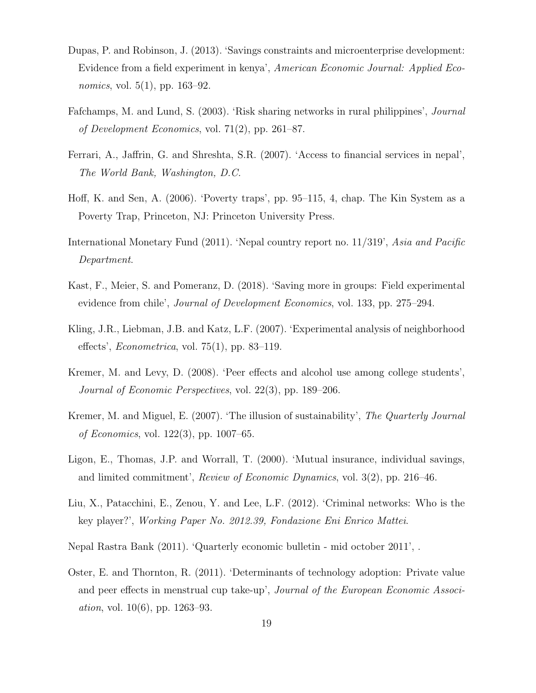- <span id="page-18-0"></span>Dupas, P. and Robinson, J. (2013). 'Savings constraints and microenterprise development: Evidence from a field experiment in kenya', American Economic Journal: Applied Eco*nomics*, vol.  $5(1)$ , pp.  $163-92$ .
- <span id="page-18-11"></span>Fafchamps, M. and Lund, S. (2003). 'Risk sharing networks in rural philippines', Journal of Development Economics, vol. 71 $(2)$ , pp. 261–87.
- <span id="page-18-9"></span>Ferrari, A., Jaffrin, G. and Shreshta, S.R. (2007). 'Access to financial services in nepal', The World Bank, Washington, D.C.
- <span id="page-18-3"></span>Hoff, K. and Sen, A. (2006). 'Poverty traps', pp. 95–115, 4, chap. The Kin System as a Poverty Trap, Princeton, NJ: Princeton University Press.
- <span id="page-18-10"></span>International Monetary Fund (2011). 'Nepal country report no. 11/319', Asia and Pacific Department.
- <span id="page-18-1"></span>Kast, F., Meier, S. and Pomeranz, D. (2018). 'Saving more in groups: Field experimental evidence from chile', Journal of Development Economics, vol. 133, pp. 275–294.
- <span id="page-18-7"></span>Kling, J.R., Liebman, J.B. and Katz, L.F. (2007). 'Experimental analysis of neighborhood effects', *Econometrica*, vol.  $75(1)$ , pp. 83–119.
- <span id="page-18-5"></span>Kremer, M. and Levy, D. (2008). 'Peer effects and alcohol use among college students', Journal of Economic Perspectives, vol. 22(3), pp. 189–206.
- <span id="page-18-6"></span>Kremer, M. and Miguel, E. (2007). 'The illusion of sustainability', The Quarterly Journal of Economics, vol. 122(3), pp. 1007–65.
- <span id="page-18-2"></span>Ligon, E., Thomas, J.P. and Worrall, T. (2000). 'Mutual insurance, individual savings, and limited commitment', Review of Economic Dynamics, vol. 3(2), pp. 216–46.
- <span id="page-18-12"></span>Liu, X., Patacchini, E., Zenou, Y. and Lee, L.F. (2012). 'Criminal networks: Who is the key player?', Working Paper No. 2012.39, Fondazione Eni Enrico Mattei.
- <span id="page-18-8"></span>Nepal Rastra Bank (2011). 'Quarterly economic bulletin - mid october 2011', .
- <span id="page-18-4"></span>Oster, E. and Thornton, R. (2011). 'Determinants of technology adoption: Private value and peer effects in menstrual cup take-up', Journal of the European Economic Associ*ation*, vol.  $10(6)$ , pp.  $1263-93$ .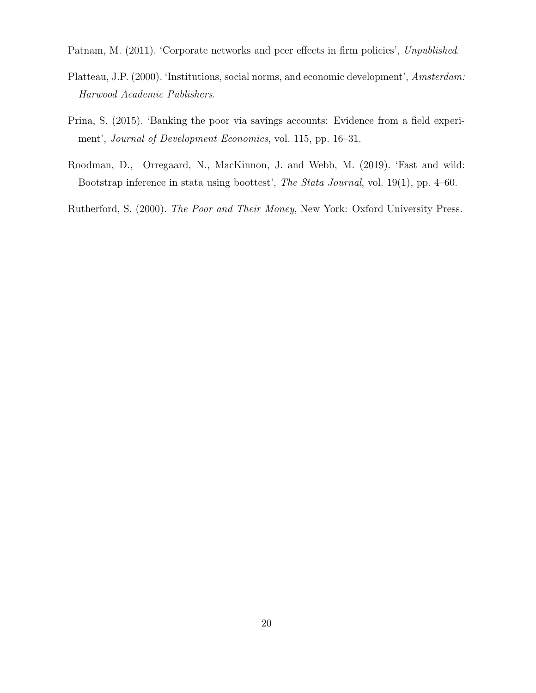<span id="page-19-2"></span>Patnam, M. (2011). 'Corporate networks and peer effects in firm policies', Unpublished.

- <span id="page-19-1"></span>Platteau, J.P. (2000). 'Institutions, social norms, and economic development', Amsterdam: Harwood Academic Publishers.
- <span id="page-19-0"></span>Prina, S. (2015). 'Banking the poor via savings accounts: Evidence from a field experiment', Journal of Development Economics, vol. 115, pp. 16–31.
- <span id="page-19-4"></span>Roodman, D., Orregaard, N., MacKinnon, J. and Webb, M. (2019). 'Fast and wild: Bootstrap inference in stata using boottest', The Stata Journal, vol. 19(1), pp. 4–60.

<span id="page-19-3"></span>Rutherford, S. (2000). The Poor and Their Money, New York: Oxford University Press.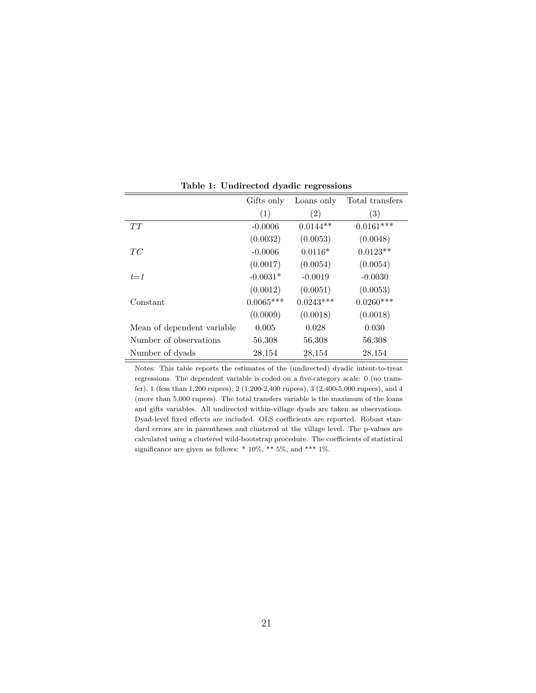|                            | Gifts only  | Loans only  | Total transfers |
|----------------------------|-------------|-------------|-----------------|
|                            | (1)         | (2)         | (3)             |
| TT                         | $-0.0006$   | $0.0144**$  | $0.0161***$     |
|                            | (0.0032)    | (0.0053)    | (0.0048)        |
| TC                         | $-0.0006$   | $0.0116*$   | $0.0123**$      |
|                            | (0.0017)    | (0.0054)    | (0.0054)        |
| $t = 1$                    | $-0.0031*$  | $-0.0019$   | $-0.0030$       |
|                            | (0.0012)    | (0.0051)    | (0.0053)        |
| Constant                   | $0.0065***$ | $0.0243***$ | $0.0260***$     |
|                            | (0.0009)    | (0.0018)    | (0.0018)        |
| Mean of dependent variable | 0.005       | 0.028       | 0.030           |
| Number of observations     | 56,308      | 56,308      | 56,308          |
| Number of dyads            | 28,154      | 28,154      | 28,154          |

Table 1: Undirected dyadic regressions

<span id="page-20-0"></span>Notes: This table reports the estimates of the (undirected) dyadic intent-to-treat regressions. The dependent variable is coded on a five-category scale: 0 (no transfer), 1 (less than 1,200 rupees), 2 (1,200-2,400 rupees), 3 (2,400-5,000 rupees), and 4 (more than 5,000 rupees). The total transfers variable is the maximum of the loans and gifts variables. All undirected within-village dyads are taken as observations. Dyad-level fixed effects are included. OLS coefficients are reported. Robust standard errors are in parentheses and clustered at the village level. The p-values are calculated using a clustered wild-bootstrap procedure. The coefficients of statistical significance are given as follows: \* 10%, \*\* 5%, and \*\*\* 1%.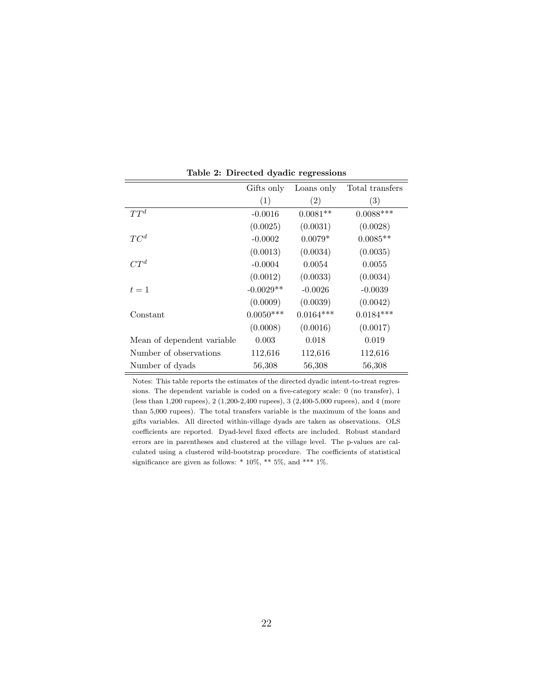|                            | Gifts only  | Loans only  | Total transfers |
|----------------------------|-------------|-------------|-----------------|
|                            | (1)         | (2)         | (3)             |
| $TT^d$                     | $-0.0016$   | $0.0081**$  | $0.0088***$     |
|                            | (0.0025)    | (0.0031)    | (0.0028)        |
| $TC^d$                     | $-0.0002$   | $0.0079*$   | $0.0085**$      |
|                            | (0.0013)    | (0.0034)    | (0.0035)        |
| $CT^d$                     | $-0.0004$   | 0.0054      | 0.0055          |
|                            | (0.0012)    | (0.0033)    | (0.0034)        |
| $t=1$                      | $-0.0029**$ | $-0.0026$   | $-0.0039$       |
|                            | (0.0009)    | (0.0039)    | (0.0042)        |
| Constant                   | $0.0050***$ | $0.0164***$ | $0.0184***$     |
|                            | (0.0008)    | (0.0016)    | (0.0017)        |
| Mean of dependent variable | 0.003       | 0.018       | 0.019           |
| Number of observations     | 112,616     | 112,616     | 112,616         |
| Number of dyads            | 56,308      | 56,308      | 56,308          |

Table 2: Directed dyadic regressions

<span id="page-21-0"></span>Notes: This table reports the estimates of the directed dyadic intent-to-treat regressions. The dependent variable is coded on a five-category scale: 0 (no transfer), 1 (less than 1,200 rupees), 2 (1,200-2,400 rupees), 3 (2,400-5,000 rupees), and 4 (more than 5,000 rupees). The total transfers variable is the maximum of the loans and gifts variables. All directed within-village dyads are taken as observations. OLS coefficients are reported. Dyad-level fixed effects are included. Robust standard errors are in parentheses and clustered at the village level. The p-values are calculated using a clustered wild-bootstrap procedure. The coefficients of statistical significance are given as follows: \* 10%, \*\* 5%, and \*\*\* 1%.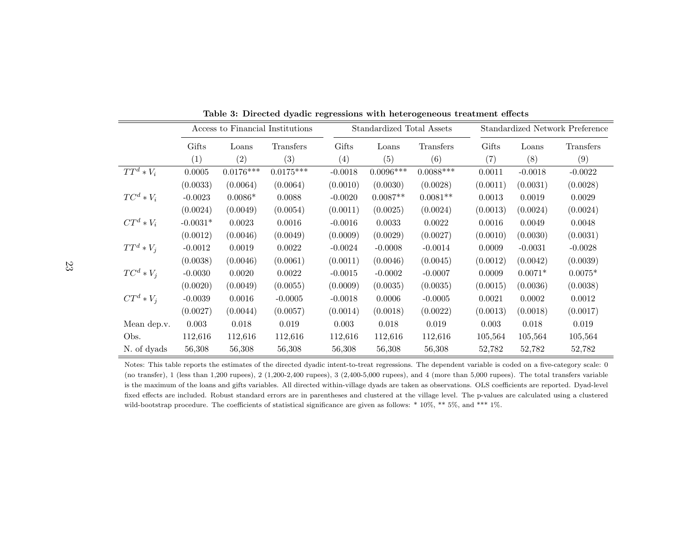|              | Access to Financial Institutions |             |             |           | Standardized Total Assets |             |                   | Standardized Network Preference |           |  |  |
|--------------|----------------------------------|-------------|-------------|-----------|---------------------------|-------------|-------------------|---------------------------------|-----------|--|--|
|              | Gifts                            | Loans       | Transfers   | Gifts     | Loans                     | Transfers   | Gifts             | Loans                           | Transfers |  |  |
|              | (1)                              | (2)         | (3)         | (4)       | (5)                       | (6)         | $\left( 7\right)$ | (8)                             | (9)       |  |  |
| $TT^d * V_i$ | 0.0005                           | $0.0176***$ | $0.0175***$ | $-0.0018$ | $0.0096***$               | $0.0088***$ | 0.0011            | $-0.0018$                       | $-0.0022$ |  |  |
|              | (0.0033)                         | (0.0064)    | (0.0064)    | (0.0010)  | (0.0030)                  | (0.0028)    | (0.0011)          | (0.0031)                        | (0.0028)  |  |  |
| $TC^d * V_i$ | $-0.0023$                        | $0.0086*$   | 0.0088      | $-0.0020$ | $0.0087**$                | $0.0081**$  | 0.0013            | 0.0019                          | 0.0029    |  |  |
|              | (0.0024)                         | (0.0049)    | (0.0054)    | (0.0011)  | (0.0025)                  | (0.0024)    | (0.0013)          | (0.0024)                        | (0.0024)  |  |  |
| $CT^d * V_i$ | $-0.0031*$                       | 0.0023      | 0.0016      | $-0.0016$ | 0.0033                    | 0.0022      | 0.0016            | 0.0049                          | 0.0048    |  |  |
|              | (0.0012)                         | (0.0046)    | (0.0049)    | (0.0009)  | (0.0029)                  | (0.0027)    | (0.0010)          | (0.0030)                        | (0.0031)  |  |  |
| $TT^d * V_i$ | $-0.0012$                        | 0.0019      | 0.0022      | $-0.0024$ | $-0.0008$                 | $-0.0014$   | 0.0009            | $-0.0031$                       | $-0.0028$ |  |  |
|              | (0.0038)                         | (0.0046)    | (0.0061)    | (0.0011)  | (0.0046)                  | (0.0045)    | (0.0012)          | (0.0042)                        | (0.0039)  |  |  |
| $TC^d * V_i$ | $-0.0030$                        | 0.0020      | 0.0022      | $-0.0015$ | $-0.0002$                 | $-0.0007$   | 0.0009            | $0.0071*$                       | $0.0075*$ |  |  |
|              | (0.0020)                         | (0.0049)    | (0.0055)    | (0.0009)  | (0.0035)                  | (0.0035)    | (0.0015)          | (0.0036)                        | (0.0038)  |  |  |
| $CT^d * V_i$ | $-0.0039$                        | 0.0016      | $-0.0005$   | $-0.0018$ | 0.0006                    | $-0.0005$   | 0.0021            | 0.0002                          | 0.0012    |  |  |
|              | (0.0027)                         | (0.0044)    | (0.0057)    | (0.0014)  | (0.0018)                  | (0.0022)    | (0.0013)          | (0.0018)                        | (0.0017)  |  |  |
| Mean dep.v.  | 0.003                            | 0.018       | 0.019       | 0.003     | 0.018                     | 0.019       | 0.003             | 0.018                           | 0.019     |  |  |
| Obs.         | 112,616                          | 112,616     | 112,616     | 112,616   | 112,616                   | 112,616     | 105,564           | 105,564                         | 105,564   |  |  |
| N. of dyads  | 56,308                           | 56,308      | 56,308      | 56,308    | 56,308                    | 56,308      | 52,782            | 52,782                          | 52,782    |  |  |

<span id="page-22-0"></span>Table 3: Directed dyadic regressions with heterogeneous treatment effects

Notes: This table reports the estimates of the directed dyadic intent-to-treat regressions. The dependent variable is coded on <sup>a</sup> five-category scale: 0 (no transfer), <sup>1</sup> (less than 1,200 rupees), <sup>2</sup> (1,200-2,400 rupees), <sup>3</sup> (2,400-5,000 rupees), and <sup>4</sup> (more than 5,000 rupees). The total transfers variable is the maximum of the loans and gifts variables. All directed within-village dyads are taken as observations. OLS coefficients are reported. Dyad-levelfixed effects are included. Robust standard errors are in parentheses and clustered at the village level. The p-values are calculated using <sup>a</sup> clusteredwild-bootstrap procedure. The coefficients of statistical significance are given as follows: \* 10%, \*\* 5%, and \*\*\* 1%.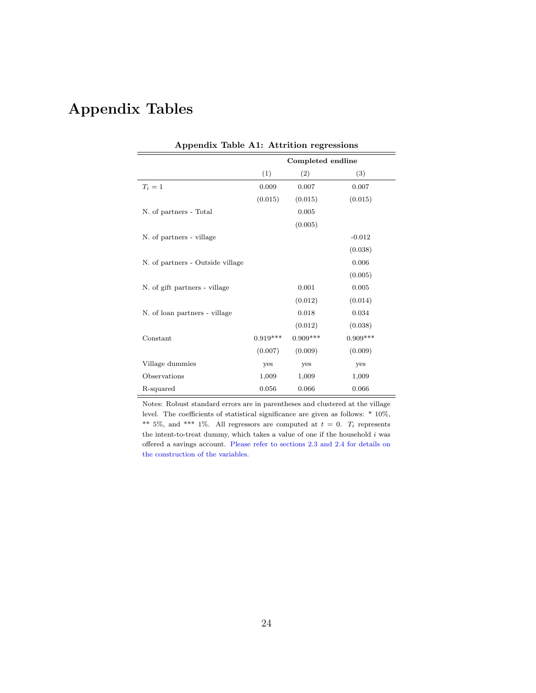# Appendix Tables

| Appendix Table A1: Attrition regressions |                   |            |            |  |  |  |  |  |  |
|------------------------------------------|-------------------|------------|------------|--|--|--|--|--|--|
|                                          | Completed endline |            |            |  |  |  |  |  |  |
|                                          | (1)               | (2)        | (3)        |  |  |  |  |  |  |
| $T_i=1$                                  | 0.009             | 0.007      | 0.007      |  |  |  |  |  |  |
|                                          | (0.015)           | (0.015)    | (0.015)    |  |  |  |  |  |  |
| N. of partners - Total                   |                   | 0.005      |            |  |  |  |  |  |  |
|                                          |                   | (0.005)    |            |  |  |  |  |  |  |
| N. of partners - village                 |                   |            | $-0.012$   |  |  |  |  |  |  |
|                                          |                   |            | (0.038)    |  |  |  |  |  |  |
| N. of partners - Outside village         |                   |            | 0.006      |  |  |  |  |  |  |
|                                          |                   |            | (0.005)    |  |  |  |  |  |  |
| N. of gift partners - village            |                   | 0.001      | 0.005      |  |  |  |  |  |  |
|                                          |                   | (0.012)    | (0.014)    |  |  |  |  |  |  |
| N. of loan partners - village            |                   | 0.018      | 0.034      |  |  |  |  |  |  |
|                                          |                   | (0.012)    | (0.038)    |  |  |  |  |  |  |
| Constant                                 | $0.919***$        | $0.909***$ | $0.909***$ |  |  |  |  |  |  |
|                                          | (0.007)           | (0.009)    | (0.009)    |  |  |  |  |  |  |
| Village dummies                          | yes               | yes        | yes        |  |  |  |  |  |  |
| Observations                             | 1,009             | 1,009      | 1,009      |  |  |  |  |  |  |
| R-squared                                | 0.056             | 0.066      | 0.066      |  |  |  |  |  |  |

Notes: Robust standard errors are in parentheses and clustered at the village level. The coefficients of statistical significance are given as follows: \* 10%, \*\* 5%, and \*\*\* 1%. All regressors are computed at  $t = 0$ .  $T_i$  represents the intent-to-treat dummy, which takes a value of one if the household  $i$  was offered a savings account. [Please refer to sections 2.3 and 2.4 for details on](#page-7-0) [the construction of the variables.](#page-7-0)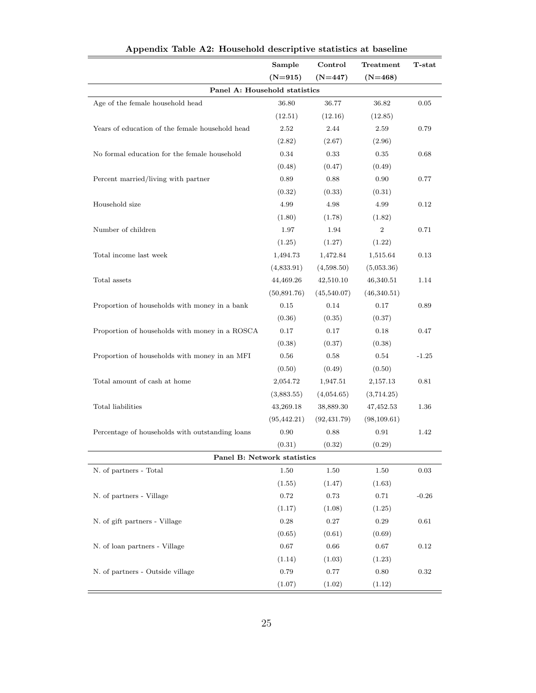|                                                 | Sample       | Control      | Treatment        | T-stat  |
|-------------------------------------------------|--------------|--------------|------------------|---------|
|                                                 | $(N=915)$    | $(N=447)$    | $(N=468)$        |         |
| Panel A: Household statistics                   |              |              |                  |         |
| Age of the female household head                | 36.80        | 36.77        | 36.82            | 0.05    |
|                                                 | (12.51)      | (12.16)      | (12.85)          |         |
| Years of education of the female household head | 2.52         | 2.44         | 2.59             | 0.79    |
|                                                 | (2.82)       | (2.67)       | (2.96)           |         |
| No formal education for the female household    | 0.34         | 0.33         | 0.35             | 0.68    |
|                                                 | (0.48)       | (0.47)       | (0.49)           |         |
| Percent married/living with partner             | 0.89         | 0.88         | 0.90             | 0.77    |
|                                                 | (0.32)       | (0.33)       | (0.31)           |         |
| Household size                                  | 4.99         | 4.98         | 4.99             | 0.12    |
|                                                 | (1.80)       | (1.78)       | (1.82)           |         |
| Number of children                              | 1.97         | 1.94         | $\boldsymbol{2}$ | 0.71    |
|                                                 | (1.25)       | (1.27)       | (1.22)           |         |
| Total income last week                          | 1,494.73     | 1,472.84     | 1,515.64         | 0.13    |
|                                                 | (4,833.91)   | (4,598.50)   | (5,053.36)       |         |
| Total assets                                    | 44,469.26    | 42,510.10    | 46,340.51        | 1.14    |
|                                                 | (50,891.76)  | (45,540.07)  | (46,340.51)      |         |
| Proportion of households with money in a bank   | 0.15         | 0.14         | 0.17             | 0.89    |
|                                                 | (0.36)       | (0.35)       | (0.37)           |         |
| Proportion of households with money in a ROSCA  | 0.17         | 0.17         | 0.18             | 0.47    |
|                                                 | (0.38)       | (0.37)       | (0.38)           |         |
| Proportion of households with money in an MFI   | 0.56         | 0.58         | 0.54             | $-1.25$ |
|                                                 | (0.50)       | (0.49)       | (0.50)           |         |
| Total amount of cash at home                    | 2,054.72     | 1,947.51     | 2,157.13         | 0.81    |
|                                                 | (3,883.55)   | (4,054.65)   | (3,714.25)       |         |
| Total liabilities                               | 43,269.18    | 38,889.30    | 47,452.53        | 1.36    |
|                                                 | (95, 442.21) | (92, 431.79) | (98, 109.61)     |         |
| Percentage of households with outstanding loans | 0.90         | 0.88         | 0.91             | 1.42    |
|                                                 | (0.31)       | (0.32)       | (0.29)           |         |
| Panel B: Network statistics                     |              |              |                  |         |
| N. of partners - Total                          | 1.50         | 1.50         | 1.50             | 0.03    |
|                                                 | (1.55)       | (1.47)       | (1.63)           |         |
| N. of partners - Village                        | 0.72         | 0.73         | 0.71             | $-0.26$ |
|                                                 | (1.17)       | (1.08)       | (1.25)           |         |
| N. of gift partners - Village                   | $0.28\,$     | 0.27         | 0.29             | 0.61    |
|                                                 | (0.65)       | (0.61)       | (0.69)           |         |
| N. of loan partners - Village                   | $0.67\,$     | 0.66         | 0.67             | 0.12    |
|                                                 | (1.14)       | (1.03)       | (1.23)           |         |
| N. of partners - Outside village                | 0.79         | 0.77         | 0.80             | 0.32    |
|                                                 | (1.07)       | (1.02)       | (1.12)           |         |

Appendix Table A2: Household descriptive statistics at baseline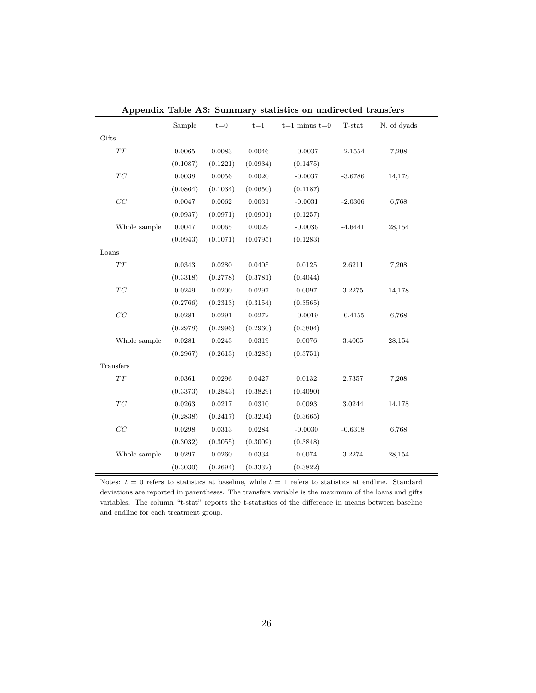|       |              | Sample   | $t = 0$  | $t = 1$      | $t=1$ minus $t=0$ | T-stat    | N. of dyads |
|-------|--------------|----------|----------|--------------|-------------------|-----------|-------------|
| Gifts |              |          |          |              |                   |           |             |
|       | $\cal TT$    | 0.0065   | 0.0083   | 0.0046       | $-0.0037$         | $-2.1554$ | 7,208       |
|       |              | (0.1087) | (0.1221) | (0.0934)     | (0.1475)          |           |             |
|       | TC           | 0.0038   | 0.0056   | 0.0020       | $-0.0037$         | $-3.6786$ | 14,178      |
|       |              | (0.0864) | (0.1034) | (0.0650)     | (0.1187)          |           |             |
|       | CC           | 0.0047   | 0.0062   | 0.0031       | $-0.0031$         | $-2.0306$ | 6,768       |
|       |              | (0.0937) | (0.0971) | (0.0901)     | (0.1257)          |           |             |
|       | Whole sample | 0.0047   | 0.0065   | 0.0029       | $-0.0036$         | $-4.6441$ | 28,154      |
|       |              | (0.0943) | (0.1071) | (0.0795)     | (0.1283)          |           |             |
| Loans |              |          |          |              |                   |           |             |
|       | $\cal TT$    | 0.0343   | 0.0280   | 0.0405       | 0.0125            | 2.6211    | 7,208       |
|       |              | (0.3318) | (0.2778) | (0.3781)     | (0.4044)          |           |             |
|       | TC           | 0.0249   | 0.0200   | 0.0297       | 0.0097            | 3.2275    | 14,178      |
|       |              | (0.2766) | (0.2313) | (0.3154)     | (0.3565)          |           |             |
|       | CC           | 0.0281   | 0.0291   | 0.0272       | $-0.0019$         | $-0.4155$ | 6,768       |
|       |              | (0.2978) | (0.2996) | (0.2960)     | (0.3804)          |           |             |
|       | Whole sample | 0.0281   | 0.0243   | 0.0319       | 0.0076            | 3.4005    | 28,154      |
|       |              | (0.2967) | (0.2613) | (0.3283)     | (0.3751)          |           |             |
|       | Transfers    |          |          |              |                   |           |             |
|       | $\cal TT$    | 0.0361   | 0.0296   | 0.0427       | 0.0132            | 2.7357    | 7,208       |
|       |              | (0.3373) | (0.2843) | (0.3829)     | (0.4090)          |           |             |
|       | TC           | 0.0263   | 0.0217   | $\,0.0310\,$ | 0.0093            | 3.0244    | 14,178      |
|       |              | (0.2838) | (0.2417) | (0.3204)     | (0.3665)          |           |             |
|       | CC           | 0.0298   | 0.0313   | 0.0284       | $-0.0030$         | $-0.6318$ | 6,768       |
|       |              | (0.3032) | (0.3055) | (0.3009)     | (0.3848)          |           |             |
|       | Whole sample | 0.0297   | 0.0260   | 0.0334       | 0.0074            | 3.2274    | 28,154      |
|       |              | (0.3030) | (0.2694) | (0.3332)     | (0.3822)          |           |             |

Appendix Table A3: Summary statistics on undirected transfers

Notes:  $t = 0$  refers to statistics at baseline, while  $t = 1$  refers to statistics at endline. Standard deviations are reported in parentheses. The transfers variable is the maximum of the loans and gifts variables. The column "t-stat" reports the t-statistics of the difference in means between baseline and endline for each treatment group.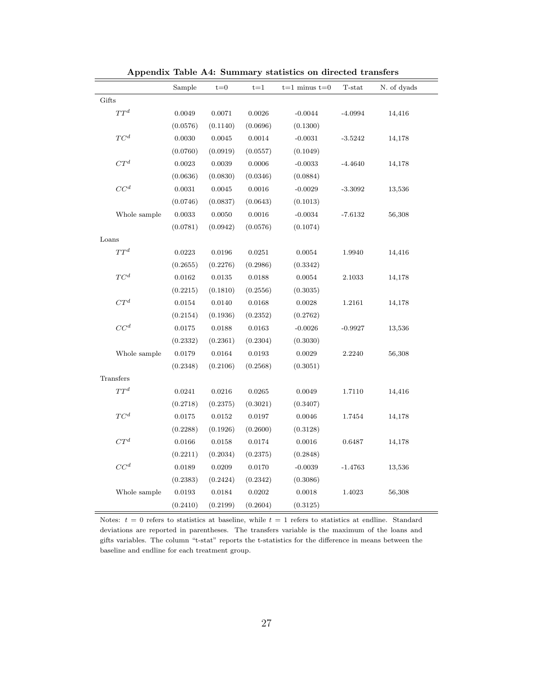|                            | Sample   | $t = 0$      | $t = 1$      | $t=1$ minus $t=0$ | T-stat    | N. of dyads |
|----------------------------|----------|--------------|--------------|-------------------|-----------|-------------|
| Gifts                      |          |              |              |                   |           |             |
| $TT^d$                     | 0.0049   | 0.0071       | $\,0.0026\,$ | $-0.0044$         | $-4.0994$ | 14,416      |
|                            | (0.0576) | (0.1140)     | (0.0696)     | (0.1300)          |           |             |
| $TC^d$                     | 0.0030   | 0.0045       | $\,0.0014\,$ | $-0.0031$         | $-3.5242$ | 14,178      |
|                            | (0.0760) | (0.0919)     | (0.0557)     | (0.1049)          |           |             |
| ${\cal C} T^d$             | 0.0023   | 0.0039       | 0.0006       | $-0.0033$         | $-4.4640$ | 14,178      |
|                            | (0.0636) | (0.0830)     | (0.0346)     | (0.0884)          |           |             |
| CC <sup>d</sup>            | 0.0031   | 0.0045       | 0.0016       | $-0.0029$         | $-3.3092$ | 13,536      |
|                            | (0.0746) | (0.0837)     | (0.0643)     | (0.1013)          |           |             |
| Whole sample               | 0.0033   | 0.0050       | 0.0016       | $-0.0034$         | $-7.6132$ | 56,308      |
|                            | (0.0781) | (0.0942)     | (0.0576)     | (0.1074)          |           |             |
| Loans                      |          |              |              |                   |           |             |
| $T{\cal T}^d$              | 0.0223   | 0.0196       | 0.0251       | 0.0054            | 1.9940    | 14,416      |
|                            | (0.2655) | (0.2276)     | (0.2986)     | (0.3342)          |           |             |
| $\mathcal{T}\mathcal{C}^d$ | 0.0162   | 0.0135       | 0.0188       | 0.0054            | 2.1033    | 14,178      |
|                            | (0.2215) | (0.1810)     | (0.2556)     | (0.3035)          |           |             |
| $CT^d$                     | 0.0154   | 0.0140       | 0.0168       | 0.0028            | 1.2161    | 14,178      |
|                            | (0.2154) | (0.1936)     | (0.2352)     | (0.2762)          |           |             |
| CC <sup>d</sup>            | 0.0175   | 0.0188       | 0.0163       | $-0.0026$         | $-0.9927$ | 13,536      |
|                            | (0.2332) | (0.2361)     | (0.2304)     | (0.3030)          |           |             |
| Whole sample               | 0.0179   | 0.0164       | 0.0193       | $\,0.0029\,$      | 2.2240    | 56,308      |
|                            | (0.2348) | (0.2106)     | (0.2568)     | (0.3051)          |           |             |
| Transfers                  |          |              |              |                   |           |             |
| $TT^d$                     | 0.0241   | $\,0.0216\,$ | $\,0.0265\,$ | 0.0049            | 1.7110    | 14,416      |
|                            | (0.2718) | (0.2375)     | (0.3021)     | (0.3407)          |           |             |
| $TC^d$                     | 0.0175   | 0.0152       | 0.0197       | 0.0046            | 1.7454    | 14,178      |
|                            | (0.2288) | (0.1926)     | (0.2600)     | (0.3128)          |           |             |
| $CT^d$                     | 0.0166   | 0.0158       | 0.0174       | 0.0016            | 0.6487    | 14,178      |
|                            | (0.2211) | (0.2034)     | (0.2375)     | (0.2848)          |           |             |
| ${\cal C} {\cal C}^d$      | 0.0189   | 0.0209       | 0.0170       | $-0.0039$         | $-1.4763$ | 13,536      |
|                            | (0.2383) | (0.2424)     | (0.2342)     | (0.3086)          |           |             |
| Whole sample               | 0.0193   | 0.0184       | 0.0202       | 0.0018            | 1.4023    | 56,308      |
|                            | (0.2410) | (0.2199)     | (0.2604)     | (0.3125)          |           |             |

Appendix Table A4: Summary statistics on directed transfers

<span id="page-26-0"></span>Notes:  $t = 0$  refers to statistics at baseline, while  $t = 1$  refers to statistics at endline. Standard deviations are reported in parentheses. The transfers variable is the maximum of the loans and gifts variables. The column "t-stat" reports the t-statistics for the difference in means between the baseline and endline for each treatment group.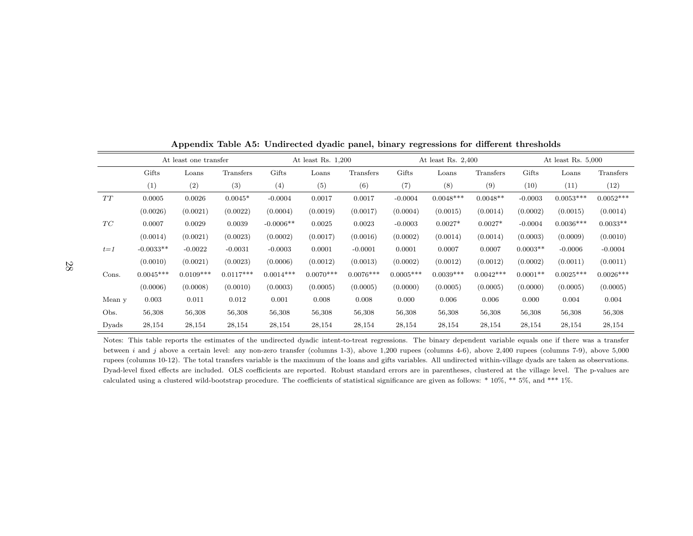|           |             | At least one transfer |             | At least Rs. $1,200$ |             |             | At least Rs. $2,400$ |             |             | At least Rs. $5,000$ |             |             |
|-----------|-------------|-----------------------|-------------|----------------------|-------------|-------------|----------------------|-------------|-------------|----------------------|-------------|-------------|
|           | Gifts       | Loans                 | Transfers   | Gifts                | Loans       | Transfers   | Gifts                | Loans       | Transfers   | Gifts                | Loans       | Transfers   |
|           | (1)         | (2)                   | (3)         | (4)                  | (5)         | (6)         | (7)                  | (8)         | (9)         | (10)                 | (11)        | (12)        |
| $\cal TT$ | 0.0005      | 0.0026                | $0.0045*$   | $-0.0004$            | 0.0017      | 0.0017      | $-0.0004$            | $0.0048***$ | $0.0048**$  | $-0.0003$            | $0.0053***$ | $0.0052***$ |
|           | (0.0026)    | (0.0021)              | (0.0022)    | (0.0004)             | (0.0019)    | (0.0017)    | (0.0004)             | (0.0015)    | (0.0014)    | (0.0002)             | (0.0015)    | (0.0014)    |
| TC        | 0.0007      | 0.0029                | 0.0039      | $-0.0006**$          | 0.0025      | 0.0023      | $-0.0003$            | $0.0027*$   | $0.0027*$   | $-0.0004$            | $0.0036***$ | $0.0033**$  |
|           | (0.0014)    | (0.0021)              | (0.0023)    | (0.0002)             | (0.0017)    | (0.0016)    | (0.0002)             | (0.0014)    | (0.0014)    | (0.0003)             | (0.0009)    | (0.0010)    |
| $t = 1$   | $-0.0033**$ | $-0.0022$             | $-0.0031$   | $-0.0003$            | 0.0001      | $-0.0001$   | 0.0001               | 0.0007      | 0.0007      | $0.0003**$           | $-0.0006$   | $-0.0004$   |
|           | (0.0010)    | (0.0021)              | (0.0023)    | (0.0006)             | (0.0012)    | (0.0013)    | (0.0002)             | (0.0012)    | (0.0012)    | (0.0002)             | (0.0011)    | (0.0011)    |
| Cons.     | $0.0045***$ | $0.0109***$           | $0.0117***$ | $0.0014***$          | $0.0070***$ | $0.0076***$ | $0.0005***$          | $0.0039***$ | $0.0042***$ | $0.0001**$           | $0.0025***$ | $0.0026***$ |
|           | (0.0006)    | (0.0008)              | (0.0010)    | (0.0003)             | (0.0005)    | (0.0005)    | (0.0000)             | (0.0005)    | (0.0005)    | (0.0000)             | (0.0005)    | (0.0005)    |
| Mean y    | 0.003       | 0.011                 | 0.012       | 0.001                | 0.008       | 0.008       | 0.000                | 0.006       | 0.006       | 0.000                | 0.004       | 0.004       |
| Obs.      | 56,308      | 56,308                | 56,308      | 56,308               | 56,308      | 56,308      | 56,308               | 56,308      | 56,308      | 56,308               | 56,308      | 56,308      |
| Dyads     | 28,154      | 28,154                | 28,154      | 28,154               | 28,154      | 28,154      | 28,154               | 28,154      | 28,154      | 28,154               | 28,154      | 28,154      |

Appendix Table A5: Undirected dyadic panel, binary regressions for different thresholds

Notes: This table reports the estimates of the undirected dyadic intent-to-treat regressions. The binary dependent variable equals one if there was <sup>a</sup> transferbetween  $i$  and  $j$  above a certain level: any non-zero transfer (columns 1-3), above 1,200 rupees (columns 4-6), above 2,400 rupees (columns 7-9), above 5,000 rupees (columns 10-12). The total transfers variable is the maximum of the loans and <sup>g</sup>ifts variables. All undirected within-village dyads are taken as observations.Dyad-level fixed effects are included. OLS coefficients are reported. Robust standard errors are in parentheses, clustered at the village level. The p-values arecalculated using <sup>a</sup> clustered wild-bootstrap procedure. The coefficients of statistical significance are <sup>g</sup>iven as follows: \* 10%, \*\* 5%, and \*\*\* 1%.